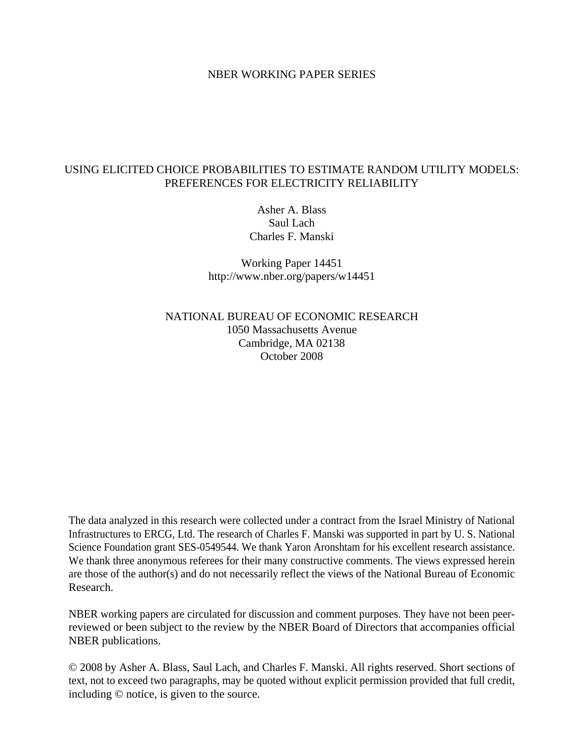#### NBER WORKING PAPER SERIES

# USING ELICITED CHOICE PROBABILITIES TO ESTIMATE RANDOM UTILITY MODELS: PREFERENCES FOR ELECTRICITY RELIABILITY

Asher A. Blass Saul Lach Charles F. Manski

Working Paper 14451 http://www.nber.org/papers/w14451

NATIONAL BUREAU OF ECONOMIC RESEARCH 1050 Massachusetts Avenue Cambridge, MA 02138 October 2008

The data analyzed in this research were collected under a contract from the Israel Ministry of National Infrastructures to ERCG, Ltd. The research of Charles F. Manski was supported in part by U. S. National Science Foundation grant SES-0549544. We thank Yaron Aronshtam for his excellent research assistance. We thank three anonymous referees for their many constructive comments. The views expressed herein are those of the author(s) and do not necessarily reflect the views of the National Bureau of Economic Research.

NBER working papers are circulated for discussion and comment purposes. They have not been peerreviewed or been subject to the review by the NBER Board of Directors that accompanies official NBER publications.

© 2008 by Asher A. Blass, Saul Lach, and Charles F. Manski. All rights reserved. Short sections of text, not to exceed two paragraphs, may be quoted without explicit permission provided that full credit, including © notice, is given to the source.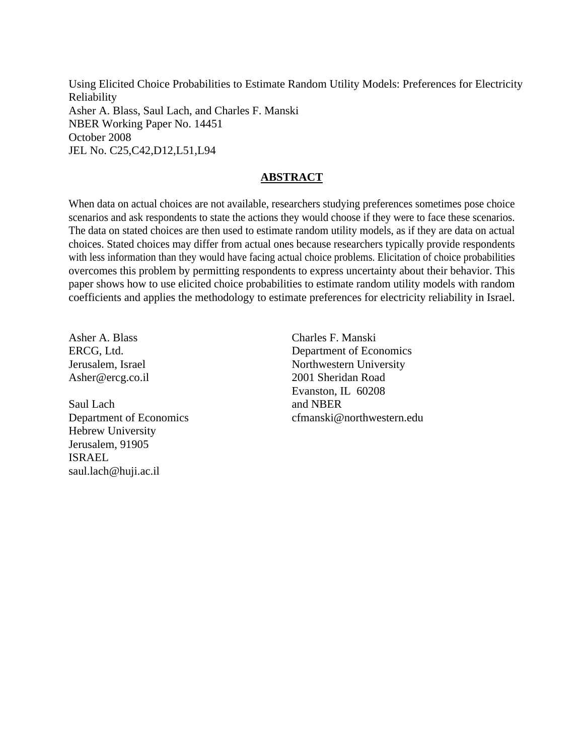Using Elicited Choice Probabilities to Estimate Random Utility Models: Preferences for Electricity Reliability Asher A. Blass, Saul Lach, and Charles F. Manski NBER Working Paper No. 14451 October 2008 JEL No. C25,C42,D12,L51,L94

# **ABSTRACT**

When data on actual choices are not available, researchers studying preferences sometimes pose choice scenarios and ask respondents to state the actions they would choose if they were to face these scenarios. The data on stated choices are then used to estimate random utility models, as if they are data on actual choices. Stated choices may differ from actual ones because researchers typically provide respondents with less information than they would have facing actual choice problems. Elicitation of choice probabilities overcomes this problem by permitting respondents to express uncertainty about their behavior. This paper shows how to use elicited choice probabilities to estimate random utility models with random coefficients and applies the methodology to estimate preferences for electricity reliability in Israel.

Asher A. Blass ERCG, Ltd. Jerusalem, Israel Asher@ercg.co.il

Saul Lach Department of Economics Hebrew University Jerusalem, 91905 ISRAEL saul.lach@huji.ac.il

Charles F. Manski Department of Economics Northwestern University 2001 Sheridan Road Evanston, IL 60208 and NBER cfmanski@northwestern.edu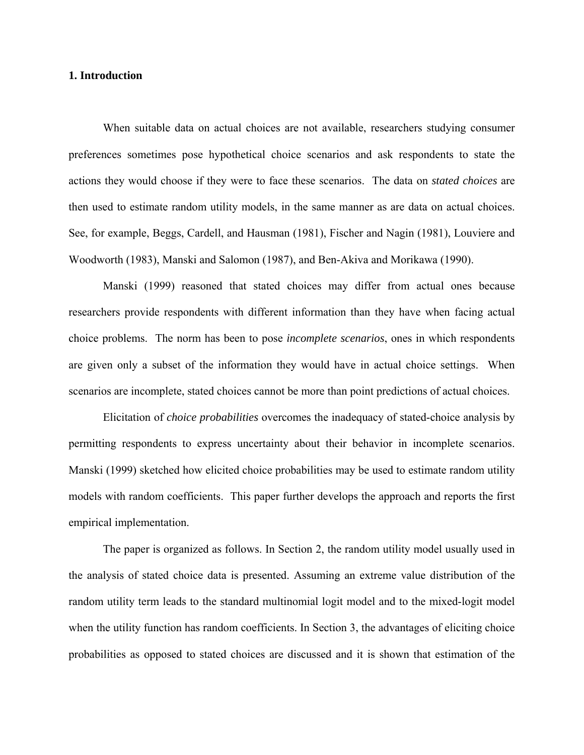#### **1. Introduction**

 When suitable data on actual choices are not available, researchers studying consumer preferences sometimes pose hypothetical choice scenarios and ask respondents to state the actions they would choose if they were to face these scenarios. The data on *stated choices* are then used to estimate random utility models, in the same manner as are data on actual choices. See, for example, Beggs, Cardell, and Hausman (1981), Fischer and Nagin (1981), Louviere and Woodworth (1983), Manski and Salomon (1987), and Ben-Akiva and Morikawa (1990).

 Manski (1999) reasoned that stated choices may differ from actual ones because researchers provide respondents with different information than they have when facing actual choice problems. The norm has been to pose *incomplete scenarios*, ones in which respondents are given only a subset of the information they would have in actual choice settings. When scenarios are incomplete, stated choices cannot be more than point predictions of actual choices.

 Elicitation of *choice probabilities* overcomes the inadequacy of stated-choice analysis by permitting respondents to express uncertainty about their behavior in incomplete scenarios. Manski (1999) sketched how elicited choice probabilities may be used to estimate random utility models with random coefficients. This paper further develops the approach and reports the first empirical implementation.

The paper is organized as follows. In Section 2, the random utility model usually used in the analysis of stated choice data is presented. Assuming an extreme value distribution of the random utility term leads to the standard multinomial logit model and to the mixed-logit model when the utility function has random coefficients. In Section 3, the advantages of eliciting choice probabilities as opposed to stated choices are discussed and it is shown that estimation of the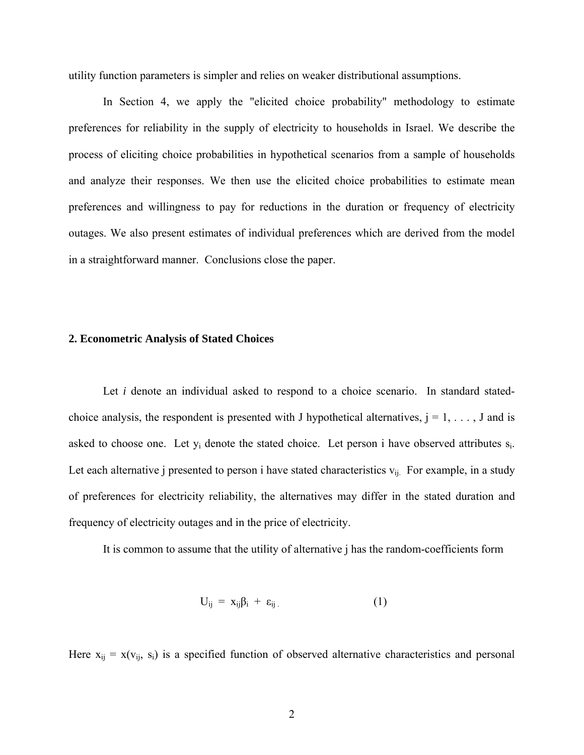utility function parameters is simpler and relies on weaker distributional assumptions.

In Section 4, we apply the "elicited choice probability" methodology to estimate preferences for reliability in the supply of electricity to households in Israel. We describe the process of eliciting choice probabilities in hypothetical scenarios from a sample of households and analyze their responses. We then use the elicited choice probabilities to estimate mean preferences and willingness to pay for reductions in the duration or frequency of electricity outages. We also present estimates of individual preferences which are derived from the model in a straightforward manner. Conclusions close the paper.

#### **2. Econometric Analysis of Stated Choices**

Let *i* denote an individual asked to respond to a choice scenario. In standard statedchoice analysis, the respondent is presented with J hypothetical alternatives,  $j = 1, \ldots, J$  and is asked to choose one. Let  $y_i$  denote the stated choice. Let person i have observed attributes  $s_i$ . Let each alternative j presented to person i have stated characteristics  $v_{ij}$ . For example, in a study of preferences for electricity reliability, the alternatives may differ in the stated duration and frequency of electricity outages and in the price of electricity.

It is common to assume that the utility of alternative j has the random-coefficients form

$$
U_{ij} = x_{ij}\beta_i + \varepsilon_{ij} \tag{1}
$$

Here  $x_{ij} = x(v_{ij}, s_i)$  is a specified function of observed alternative characteristics and personal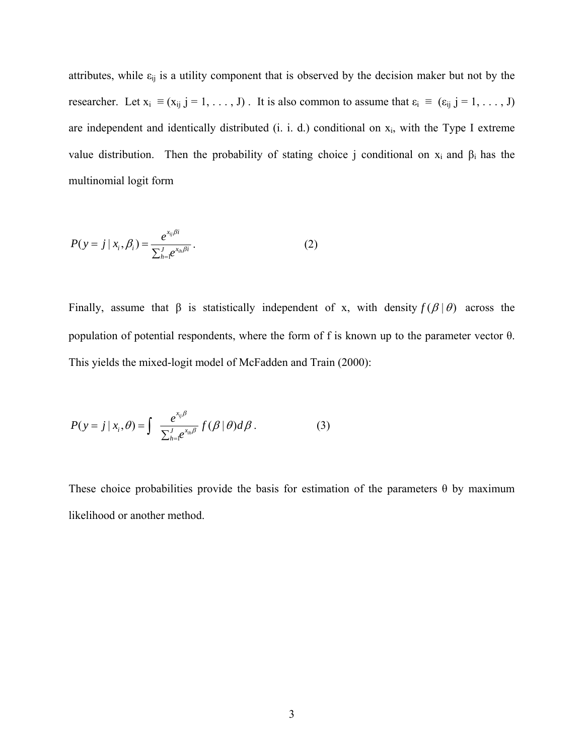attributes, while  $\varepsilon_{ij}$  is a utility component that is observed by the decision maker but not by the researcher. Let  $x_i \equiv (x_{ij} \ j = 1, \ldots, J)$ . It is also common to assume that  $\varepsilon_i \equiv (\varepsilon_{ij} \ j = 1, \ldots, J)$ are independent and identically distributed (i. i. d.) conditional on  $x_i$ , with the Type I extreme value distribution. Then the probability of stating choice j conditional on  $x_i$  and  $\beta_i$  has the multinomial logit form

$$
P(y = j | x_i, \beta_i) = \frac{e^{x_{ij}\beta i}}{\sum_{h=1}^{J} e^{x_{ih}\beta i}}.
$$
 (2)

Finally, assume that  $\beta$  is statistically independent of x, with density  $f(\beta|\theta)$  across the population of potential respondents, where the form of f is known up to the parameter vector θ. This yields the mixed-logit model of McFadden and Train (2000):

$$
P(y = j | x_i, \theta) = \int \frac{e^{x_{ij}\beta}}{\sum_{h=1}^{J} e^{x_{ih}\beta}} f(\beta | \theta) d\beta.
$$
 (3)

These choice probabilities provide the basis for estimation of the parameters  $\theta$  by maximum likelihood or another method.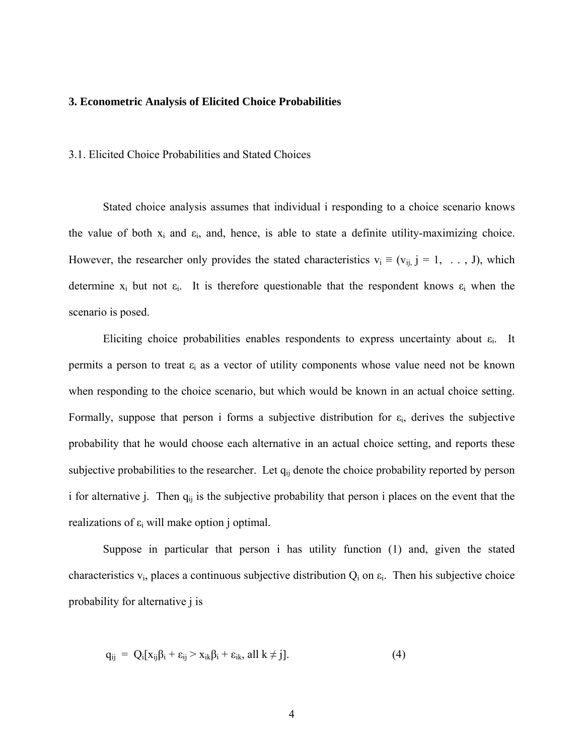#### **3. Econometric Analysis of Elicited Choice Probabilities**

3.1. Elicited Choice Probabilities and Stated Choices

 Stated choice analysis assumes that individual i responding to a choice scenario knows the value of both  $x_i$  and  $\varepsilon_i$ , and, hence, is able to state a definite utility-maximizing choice. However, the researcher only provides the stated characteristics  $v_i \equiv (v_{ij} \ j = 1, \ldots, J)$ , which determine  $x_i$  but not  $\varepsilon_i$ . It is therefore questionable that the respondent knows  $\varepsilon_i$  when the scenario is posed.

Eliciting choice probabilities enables respondents to express uncertainty about  $\varepsilon_i$ . It permits a person to treat  $\varepsilon_i$  as a vector of utility components whose value need not be known when responding to the choice scenario, but which would be known in an actual choice setting. Formally, suppose that person i forms a subjective distribution for  $\varepsilon_i$ , derives the subjective probability that he would choose each alternative in an actual choice setting, and reports these subjective probabilities to the researcher. Let  $q_{ij}$  denote the choice probability reported by person i for alternative j. Then  $q_{ij}$  is the subjective probability that person i places on the event that the realizations of  $\varepsilon_i$  will make option j optimal.

Suppose in particular that person i has utility function (1) and, given the stated characteristics  $v_i$ , places a continuous subjective distribution  $Q_i$  on  $\varepsilon_i$ . Then his subjective choice probability for alternative j is

$$
q_{ij} = Q_i[x_{ij}\beta_i + \varepsilon_{ij} > x_{ik}\beta_i + \varepsilon_{ik}, all k \neq j].
$$
\n(4)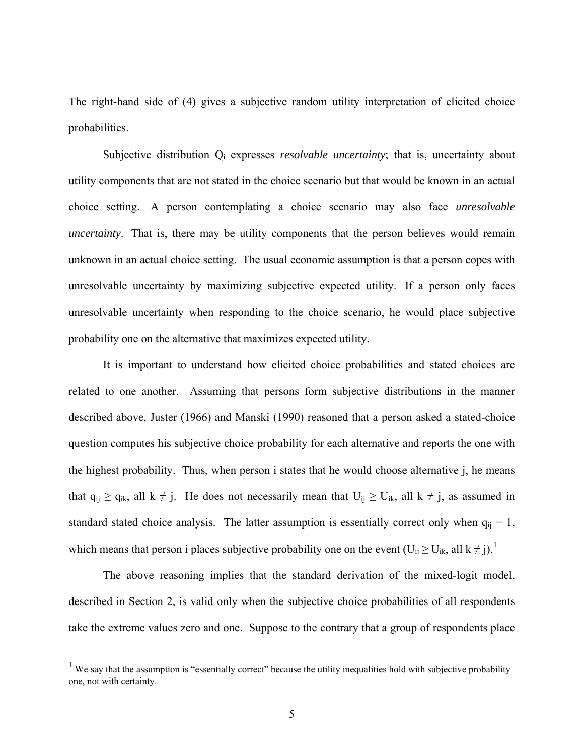<span id="page-6-0"></span>The right-hand side of (4) gives a subjective random utility interpretation of elicited choice probabilities.

Subjective distribution Qi expresses *resolvable uncertainty*; that is, uncertainty about utility components that are not stated in the choice scenario but that would be known in an actual choice setting. A person contemplating a choice scenario may also face *unresolvable uncertainty*. That is, there may be utility components that the person believes would remain unknown in an actual choice setting. The usual economic assumption is that a person copes with unresolvable uncertainty by maximizing subjective expected utility. If a person only faces unresolvable uncertainty when responding to the choice scenario, he would place subjective probability one on the alternative that maximizes expected utility.

It is important to understand how elicited choice probabilities and stated choices are related to one another. Assuming that persons form subjective distributions in the manner described above, Juster (1966) and Manski (1990) reasoned that a person asked a stated-choice question computes his subjective choice probability for each alternative and reports the one with the highest probability. Thus, when person i states that he would choose alternative j, he means that  $q_{ij} \ge q_{ik}$ , all  $k \ne j$ . He does not necessarily mean that  $U_{ij} \ge U_{ik}$ , all  $k \ne j$ , as assumed in standard stated choice analysis. The latter assumption is essentially correct only when  $q_{ij} = 1$ , which means that person i places subjective probability one on the event  $(U_{ij} \ge U_{ik}$ , all  $k \ne j$ .<sup>[1](#page-6-0)</sup>

The above reasoning implies that the standard derivation of the mixed-logit model, described in Section 2, is valid only when the subjective choice probabilities of all respondents take the extreme values zero and one. Suppose to the contrary that a group of respondents place

<sup>&</sup>lt;sup>1</sup> We say that the assumption is "essentially correct" because the utility inequalities hold with subjective probability one, not with certainty.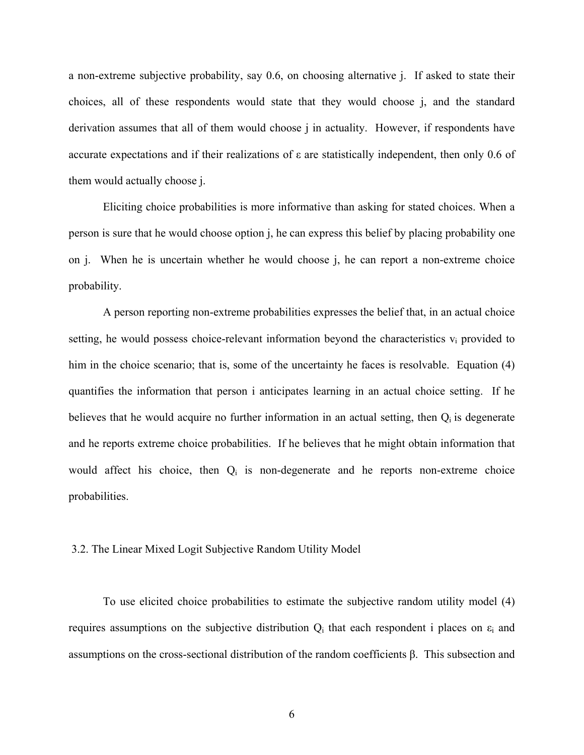a non-extreme subjective probability, say 0.6, on choosing alternative j. If asked to state their choices, all of these respondents would state that they would choose j, and the standard derivation assumes that all of them would choose j in actuality. However, if respondents have accurate expectations and if their realizations of ε are statistically independent, then only 0.6 of them would actually choose j.

Eliciting choice probabilities is more informative than asking for stated choices. When a person is sure that he would choose option j, he can express this belief by placing probability one on j. When he is uncertain whether he would choose j, he can report a non-extreme choice probability.

A person reporting non-extreme probabilities expresses the belief that, in an actual choice setting, he would possess choice-relevant information beyond the characteristics  $v_i$  provided to him in the choice scenario; that is, some of the uncertainty he faces is resolvable. Equation (4) quantifies the information that person i anticipates learning in an actual choice setting. If he believes that he would acquire no further information in an actual setting, then  $Q_i$  is degenerate and he reports extreme choice probabilities. If he believes that he might obtain information that would affect his choice, then Qi is non-degenerate and he reports non-extreme choice probabilities.

#### 3.2. The Linear Mixed Logit Subjective Random Utility Model

 To use elicited choice probabilities to estimate the subjective random utility model (4) requires assumptions on the subjective distribution  $Q_i$  that each respondent i places on  $\varepsilon_i$  and assumptions on the cross-sectional distribution of the random coefficients β. This subsection and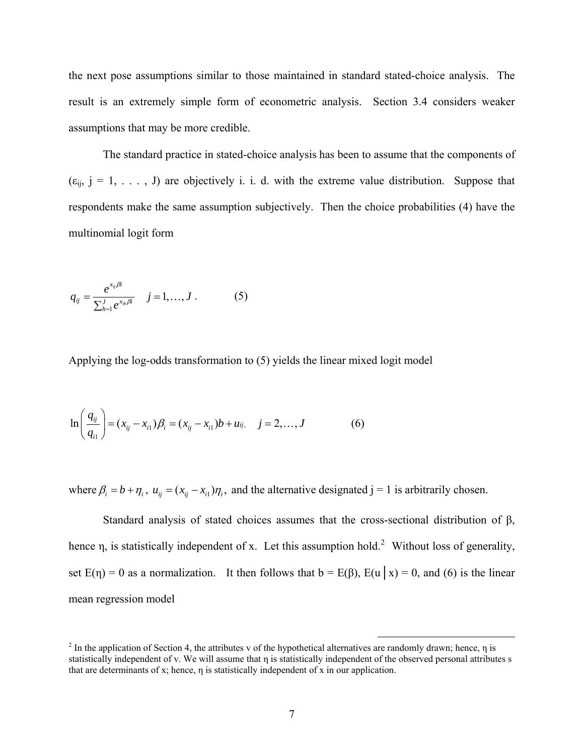<span id="page-8-0"></span>the next pose assumptions similar to those maintained in standard stated-choice analysis. The result is an extremely simple form of econometric analysis. Section 3.4 considers weaker assumptions that may be more credible.

The standard practice in stated-choice analysis has been to assume that the components of  $(\epsilon_{ij}, j = 1, \ldots, J)$  are objectively i. i. d. with the extreme value distribution. Suppose that respondents make the same assumption subjectively. Then the choice probabilities (4) have the multinomial logit form

$$
q_{ij} = \frac{e^{x_{ij}\beta i}}{\sum_{h=1}^{J} e^{x_{ih}\beta i}} \quad j = 1, ..., J. \quad (5)
$$

Applying the log-odds transformation to (5) yields the linear mixed logit model

$$
\ln\left(\frac{q_{ij}}{q_{i1}}\right) = (x_{ij} - x_{i1})\beta_i = (x_{ij} - x_{i1})b + u_{ij}, \quad j = 2, ..., J
$$
 (6)

where  $\beta_i = b + \eta_i$ ,  $u_{ij} = (x_{ij} - x_{i})\eta_i$ , and the alternative designated j = 1 is arbitrarily chosen.

Standard analysis of stated choices assumes that the cross-sectional distribution of β, hence  $\eta$ , is statistically independent of x. Let this assumption hold.<sup>[2](#page-8-0)</sup> Without loss of generality, set  $E(\eta) = 0$  as a normalization. It then follows that  $b = E(\beta)$ ,  $E(u | x) = 0$ , and (6) is the linear mean regression model

<sup>&</sup>lt;sup>2</sup> In the application of Section 4, the attributes v of the hypothetical alternatives are randomly drawn; hence,  $\eta$  is statistically independent of v. We will assume that η is statistically independent of the observed personal attributes s that are determinants of x; hence, η is statistically independent of x in our application.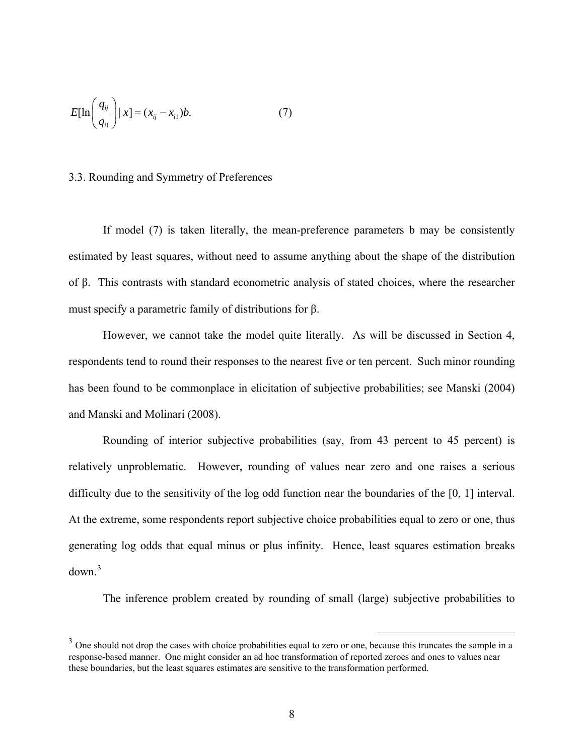<span id="page-9-0"></span>
$$
E[\ln\left(\frac{q_{ij}}{q_{i1}}\right)|x] = (x_{ij} - x_{i1})b. \tag{7}
$$

#### 3.3. Rounding and Symmetry of Preferences

If model (7) is taken literally, the mean-preference parameters b may be consistently estimated by least squares, without need to assume anything about the shape of the distribution of β. This contrasts with standard econometric analysis of stated choices, where the researcher must specify a parametric family of distributions for β.

However, we cannot take the model quite literally. As will be discussed in Section 4, respondents tend to round their responses to the nearest five or ten percent. Such minor rounding has been found to be commonplace in elicitation of subjective probabilities; see Manski (2004) and Manski and Molinari (2008).

 Rounding of interior subjective probabilities (say, from 43 percent to 45 percent) is relatively unproblematic. However, rounding of values near zero and one raises a serious difficulty due to the sensitivity of the log odd function near the boundaries of the [0, 1] interval. At the extreme, some respondents report subjective choice probabilities equal to zero or one, thus generating log odds that equal minus or plus infinity. Hence, least squares estimation breaks  $down<sup>3</sup>$  $down<sup>3</sup>$  $down<sup>3</sup>$ 

The inference problem created by rounding of small (large) subjective probabilities to

 $3\degree$  One should not drop the cases with choice probabilities equal to zero or one, because this truncates the sample in a response-based manner. One might consider an ad hoc transformation of reported zeroes and ones to values near these boundaries, but the least squares estimates are sensitive to the transformation performed.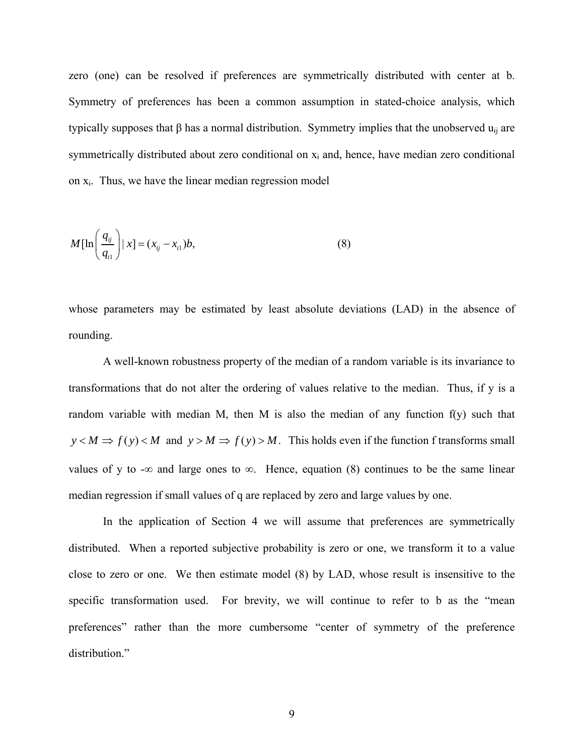zero (one) can be resolved if preferences are symmetrically distributed with center at b. Symmetry of preferences has been a common assumption in stated-choice analysis, which typically supposes that  $\beta$  has a normal distribution. Symmetry implies that the unobserved  $u_{ii}$  are symmetrically distributed about zero conditional on  $x_i$  and, hence, have median zero conditional on xi. Thus, we have the linear median regression model

$$
M[\ln\left(\frac{q_{ij}}{q_{i1}}\right)|x] = (x_{ij} - x_{i1})b,
$$
\n(8)

whose parameters may be estimated by least absolute deviations (LAD) in the absence of rounding.

 A well-known robustness property of the median of a random variable is its invariance to transformations that do not alter the ordering of values relative to the median. Thus, if y is a random variable with median M, then M is also the median of any function  $f(y)$  such that  $y < M \Rightarrow f(y) < M$  and  $y > M \Rightarrow f(y) > M$ . This holds even if the function f transforms small values of y to -∞ and large ones to  $\infty$ . Hence, equation (8) continues to be the same linear median regression if small values of q are replaced by zero and large values by one.

 In the application of Section 4 we will assume that preferences are symmetrically distributed. When a reported subjective probability is zero or one, we transform it to a value close to zero or one. We then estimate model (8) by LAD, whose result is insensitive to the specific transformation used. For brevity, we will continue to refer to b as the "mean preferences" rather than the more cumbersome "center of symmetry of the preference distribution."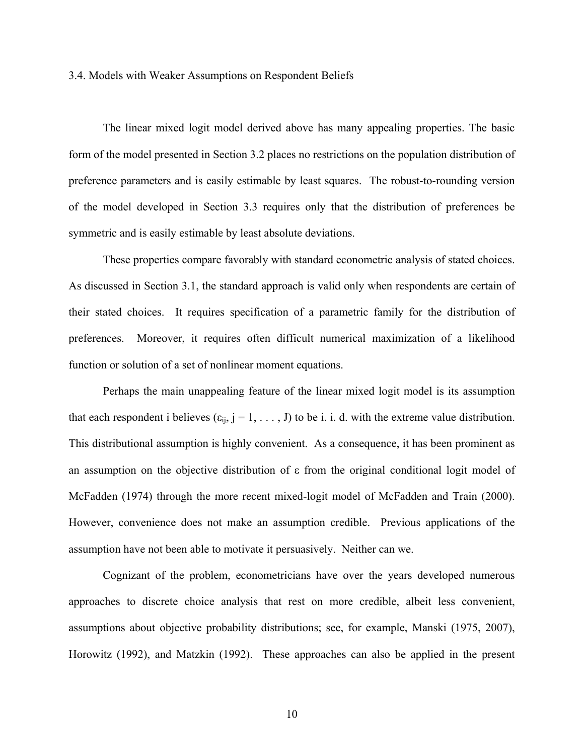#### 3.4. Models with Weaker Assumptions on Respondent Beliefs

The linear mixed logit model derived above has many appealing properties. The basic form of the model presented in Section 3.2 places no restrictions on the population distribution of preference parameters and is easily estimable by least squares. The robust-to-rounding version of the model developed in Section 3.3 requires only that the distribution of preferences be symmetric and is easily estimable by least absolute deviations.

These properties compare favorably with standard econometric analysis of stated choices. As disc ussed in Section 3.1, the standard approach is valid only when respondents are certain of their stated choices. It requires specification of a parametric family for the distribution of preferences. Moreover, it requires often difficult numerical maximization of a likelihood function or solution of a set of nonlinear moment equations.

Perhaps the main unappealing feature of the linear mixed logit model is its assumption that each respondent i believes  $(\epsilon_{ij}, j = 1, \ldots, J)$  to be i. i. d. with the extreme value distribution. This distributional assumption is highly convenient. As a consequence, it has been prominent as an assumption on the objective distribution of ε from the original conditional logit model of McFadden (1974) through the more recent mixed-logit model of McFadden and Train (2000). However, convenience does not make an assumption credible. Previous applications of the assumption have not been able to motivate it persuasively. Neither can we.

Cognizant of the problem, econometricians have over the years developed numerous approac hes to discrete choice analysis that rest on more credible, albeit less convenient, assumptions about objective probability distributions; see, for example, Manski (1975, 2007), Horowitz (1992), and Matzkin (1992). These approaches can also be applied in the present

10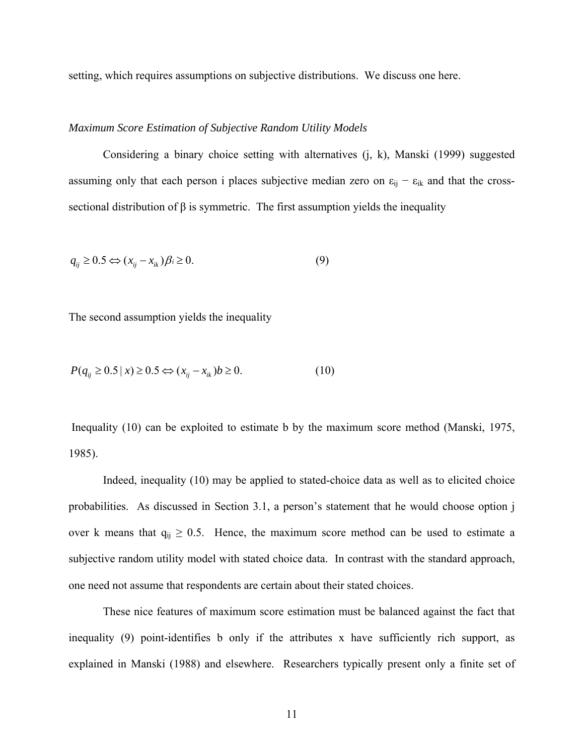setting, which requires assumptions on subjective distributions. We discuss one here.

#### *Maximum Score Estimation of Subjective Random Utility Models*

Considering a binary choice setting with alternatives (j, k), Manski (1999) suggested assuming only that each person i places subjective median zero on  $\varepsilon_{ij} - \varepsilon_{ik}$  and that the crosssectional distribution of  $\beta$  is symmetric. The first assumption yields the inequality

$$
q_{ij} \ge 0.5 \Leftrightarrow (x_{ij} - x_{ik})\beta_i \ge 0. \tag{9}
$$

The second assumption yields the inequality

$$
P(q_{ij} \ge 0.5 \mid x) \ge 0.5 \Leftrightarrow (x_{ij} - x_{ik})b \ge 0. \tag{10}
$$

Inequality  $(10)$  can be exploited to estimate b by the maximum score method (Manski, 1975, 1985).

Indeed, inequality (10) may be applied to stated-choice data as well as to elicited choice probabilities. As discussed in Section 3.1, a person's statement that he would choose option j over k means that  $q_{ij} \geq 0.5$ . Hence, the maximum score method can be used to estimate a subjective random utility model with stated choice data. In contrast with the standard approach, one need not assume that respondents are certain about their stated choices.

These nice features of maximum score estimation must be balanced against the fact that inequality (9) point-identifies b only if the attributes x have sufficiently rich support, as explained in Manski (1988) and elsewhere. Researchers typically present only a finite set of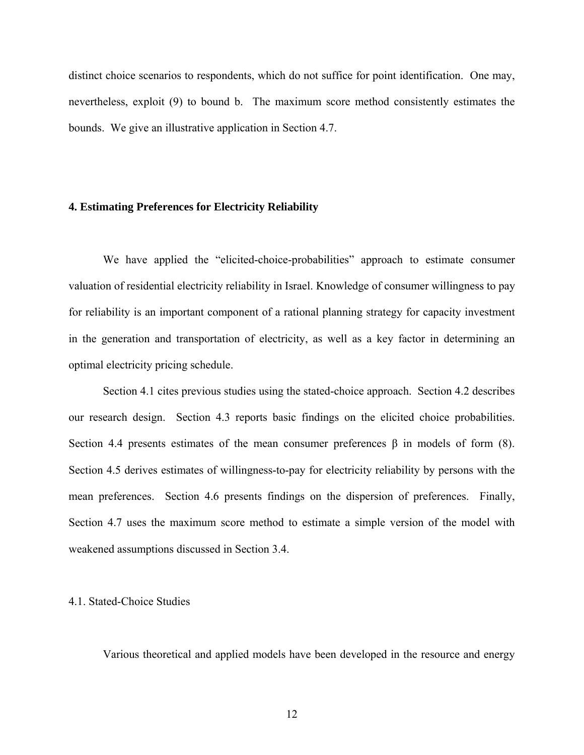distinct choice scenarios to respondents, which do not suffice for point identification. One may, nevertheless, exploit (9) to bound b. The maximum score method consistently estimates the bounds. We give an illustrative application in Section 4.7.

#### **4. Estimating Preferences for Electricity Reliability**

We have applied the "elicited-choice-probabilities" approach to estimate consumer valuatio n of residential electricity reliability in Israel. Knowledge of consumer willingness to pay for reliability is an important component of a rational planning strategy for capacity investment in the generation and transportation of electricity, as well as a key factor in determining an optimal electricity pricing schedule.

Section 4.1 cites previous studies using the stated-choice approach. Section 4.2 describes our res earch design. Section 4.3 reports basic findings on the elicited choice probabilities. Section 4.4 presents estimates of the mean consumer preferences β in models of form (8). Section 4.5 derives estimates of willingness-to-pay for electricity reliability by persons with the mean preferences. Section 4.6 presents findings on the dispersion of preferences. Finally, Section 4.7 uses the maximum score method to estimate a simple version of the model with weakened assumptions discussed in Section 3.4.

#### .1. Stated-Choice Studies 4

Various theoretical and applied models have been developed in the resource and energy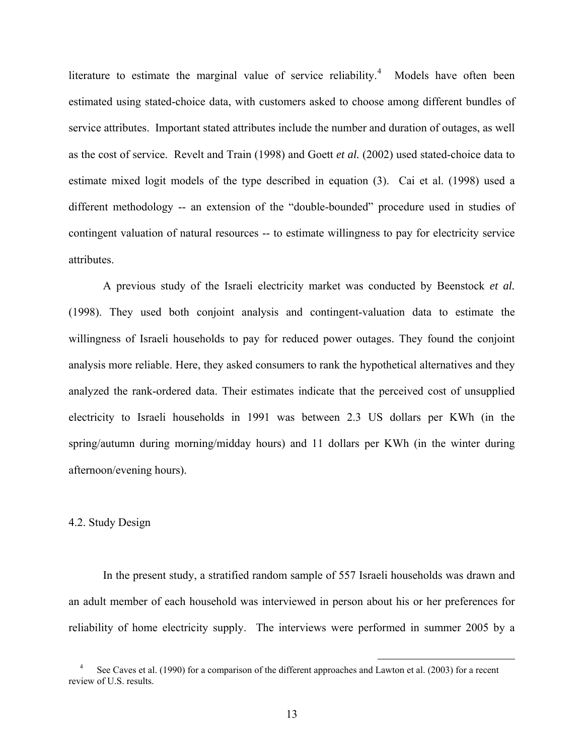literature to estimate the marginal value of service reliability.<sup>4</sup> Models have often been estimated using stated-choice data, with customers asked to choose among different bundles of service attributes. Important stated attributes include the number and duration of outages, as well as the cost of service. Revelt and Train (1998) and Goett *et al.* (2002) used stated-choice data to estimate mixed logit models of the type described in equation (3). Cai et al. (1998) used a different methodology -- an extension of the "double-bounded" procedure used in studies of contingent valuation of natural resources -- to estimate willingness to pay for electricity service attributes.

willingness of Israeli households to pay for reduced power outages. They found the conjoint analysi s more reliable. Here, they asked consumers to rank the hypothetical alternatives and they A previous study of the Israeli electricity market was conducted by Beenstock *et al.* (1998). They used both conjoint analysis and contingent-valuation data to estimate the analyzed the rank-ordered data. Their estimates indicate that the perceived cost of unsupplied electricity to Israeli households in 1991 was between 2.3 US dollars per KWh (in the spring/autumn during morning/midday hours) and 11 dollars per KWh (in the winter during afternoon/evening hours).

#### 4.2. Study Design

In the present study, a stratified random sample of 557 Israeli households was drawn and an adult member of each household was interviewed in person about his or her preferences for reliability of home electricity supply. The interviews were performed in summer 2005 by a

1

See Caves et al. (1990) for a comparison of the different approaches and Lawton et al. (2003) for a recent review of U.S. results.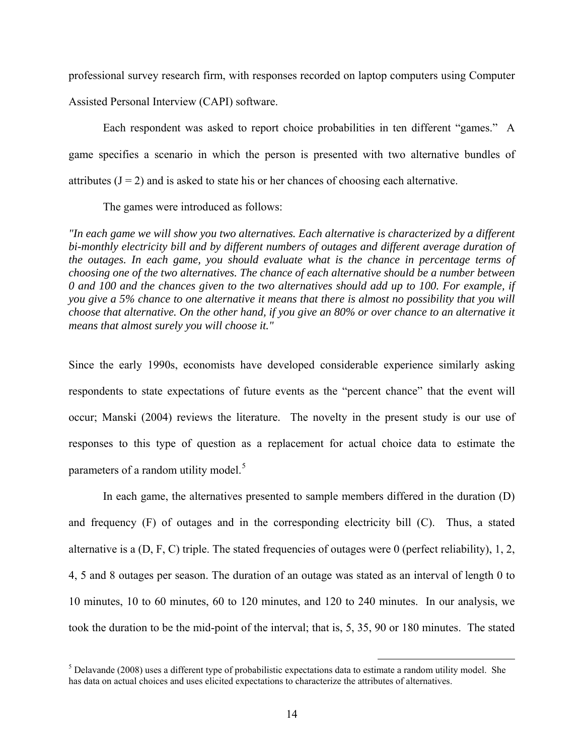professional survey research firm, with responses recorded on laptop computers using Computer Assisted Personal Interview (CAPI) software.

Each respondent was asked to report choice probabilities in ten different "games." A game specifies a scenario in which the person is presented with two alternative bundles of attributes  $(J = 2)$  and is asked to state his or her chances of choosing each alternative.

The games were introduced as follows:

"In each game we will show you two alternatives. Each alternative is characterized by a different *bi-monthly electricity bill and by different numbers of outages and different average duration of*  the outages. In each game, you should evaluate what is the chance in percentage terms of *choosing one of the two alternatives. The chance of each alternative should be a number between you give a 5% chance to one alternative it means that there is almost no possibility that you will*  choose that alternative. On the other hand, if you give an 80% or over chance to an alternative it *means that almost surely you will choose it." 0 and 100 and the chances given to the two alternatives should add up to 100. For example, if* 

parameters of a random utility model.<sup>5</sup> Since the early 1990s, economists have developed considerable experience similarly asking respondents to state expectations of future events as the "percent chance" that the event will occur; Manski (2004) reviews the literature. The novelty in the present study is our use of responses to this type of question as a replacement for actual choice data to estimate the

10 minutes, 10 to 60 minutes, 60 to 120 minutes, and 120 to 240 minutes. In our analysis, we took th e duration to be the mid-point of the interval; that is, 5, 35, 90 or 180 minutes. The stated In each game, the alternatives presented to sample members differed in the duration (D) and frequency (F) of outages and in the corresponding electricity bill (C). Thus, a stated alternative is a (D, F, C) triple. The stated frequencies of outages were 0 (perfect reliability), 1, 2, 4, 5 and 8 outages per season. The duration of an outage was stated as an interval of length 0 to

<sup>&</sup>lt;sup>5</sup> Delavande (2008) uses a different type of probabilistic expectations data to estimate a random utility model. She has data on actual choices and uses elicited expectations to characterize the attributes of alternatives.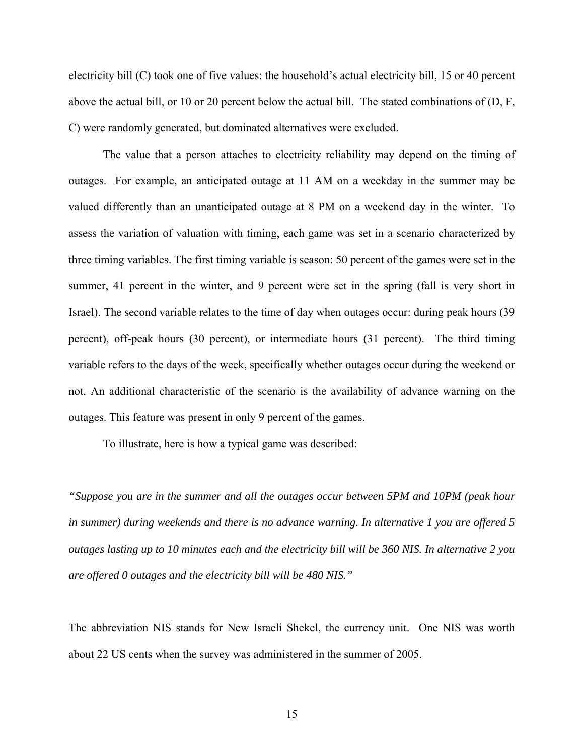electricity bill (C) took one of five values: the household's actual electricity bill, 15 or 40 percent above the actual bill, or 10 or 20 percent below the actual bill. The stated combinations of (D, F, C) were randomly generated, but dominated alternatives were excluded.

 The value that a person attaches to electricity reliability may depend on the timing of outages. For example, an anticipated outage at 11 AM on a weekday in the summer may be valued differently than an unanticipated outage at 8 PM on a weekend day in the winter. To assess the variation of valuation with timing, each game was set in a scenario characterized by three timing variables. The first timing variable is season: 50 percent of the games were set in the summer, 41 percent in the winter, and 9 percent were set in the spring (fall is very short in Israel). The second variable relates to the time of day when outages occur: during peak hours (39 percent), off-peak hours (30 percent), or intermediate hours (31 percent). The third timing variable refers to the days of the week, specifically whether outages occur during the weekend or not. An additional characteristic of the scenario is the availability of advance warning on the outages. This feature was present in only 9 percent of the games.

To illustrate, here is how a typical game was described:

*e 360 NIS. In alternative 2 you outages lasting up to 10 minutes each and the electricity bill will b "Suppose you are in the summer and all the outages occur between 5PM and 10PM (peak hour in summer) during weekends and there is no advance warning. In alternative 1 you are offered 5 are offered 0 outages and the electricity bill will be 480 NIS."* 

The abbreviation NIS stands for New Israeli Shekel, the currency unit. One NIS was worth about 22 US cents when the survey was administered in the summer of 2005.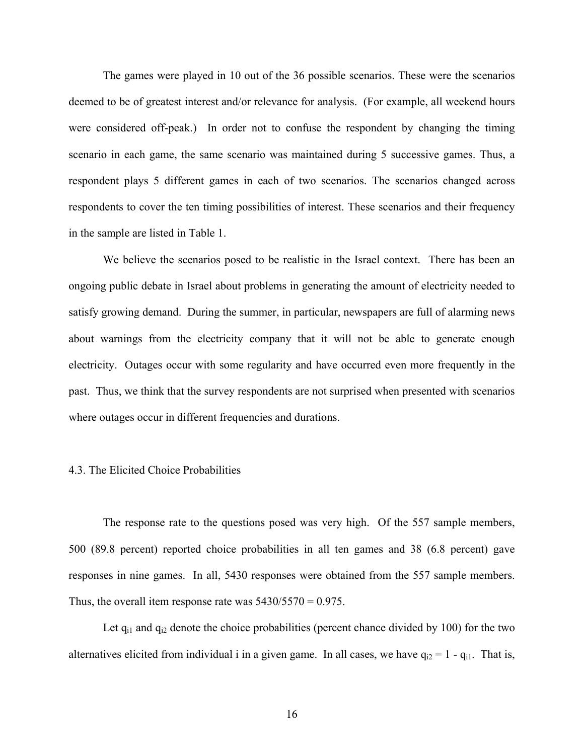The games were played in 10 out of the 36 possible scenarios. These were the scenarios deemed to be of greatest interest and/or relevance for analysis. (For example, all weekend hours were considered off-peak.) In order not to confuse the respondent by changing the timing respondent plays 5 different games in each of two scenarios. The scenarios changed across respond ents to cover the ten timing possibilities of interest. These scenarios and their frequency scenario in each game, the same scenario was maintained during 5 successive games. Thus, a in the sample are listed in Table 1.

electricity. Outages occur with some regularity and have occurred even more frequently in the past. T hus, we think that the survey respondents are not surprised when presented with scenarios We believe the scenarios posed to be realistic in the Israel context. There has been an ongoing public debate in Israel about problems in generating the amount of electricity needed to satisfy growing demand. During the summer, in particular, newspapers are full of alarming news about warnings from the electricity company that it will not be able to generate enough where outages occur in different frequencies and durations.

#### 4.3. The Elicited Choice Probabilities

500 (89.8 percent) reported choice probabilities in all ten games and 38 (6.8 percent) gave responses in nine games. In all, 5430 responses were obtained from the 557 sample members. Thus, the overall item response rate was  $5430/5570 = 0.975$ . The response rate to the questions posed was very high. Of the 557 sample members,

Let  $q_{i1}$  and  $q_{i2}$  denote the choice probabilities (percent chance divided by 100) for the two alternatives elicited from individual i in a given game. In all cases, we have  $q_{i2} = 1 - q_{i1}$ . That is,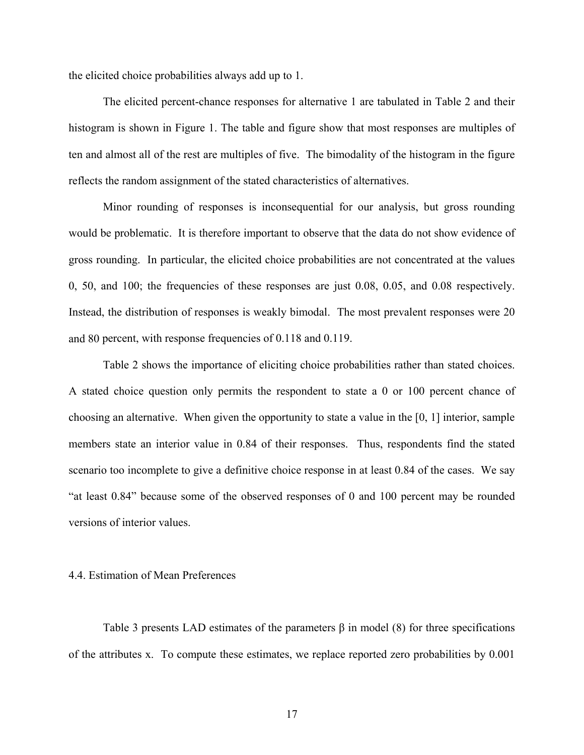the elicited choice probabilities always add up to 1.

The elicited percent-chance responses for alternative 1 are tabulated in Table 2 and their histogram is shown in Figure 1. The table and figure show that most responses are multiples of ten and almost all of the rest are multiples of five. The bimodality of the histogram in the figure reflects the random assignment of the stated characteristics of alternatives.

Minor rounding of responses is inconsequential for our analysis, but gross rounding would be problematic. It is therefore important to observe that the data do not show evidence of Instead, the distribution of responses is weakly bimodal. The most prevalent responses were 20 and 80 percent, with response frequencies of 0.118 and 0.119. gross rounding. In particular, the elicited choice probabilities are not concentrated at the values 0, 50, and 100; the frequencies of these responses are just 0.08, 0.05, and 0.08 respectively.

scenario too incomplete to give a definitive choice response in at least 0.84 of the cases. We say "at lea st 0.84" because some of the observed responses of 0 and 100 percent may be rounded Table 2 shows the importance of eliciting choice probabilities rather than stated choices. A stated choice question only permits the respondent to state a 0 or 100 percent chance of choosing an alternative. When given the opportunity to state a value in the [0, 1] interior, sample members state an interior value in 0.84 of their responses. Thus, respondents find the stated versions of interior values.

#### 4.4. Estimation of Mean Preferences

of the attributes x. To compute these estimates, we replace reported zero probabilities by 0.001 Table 3 presents LAD estimates of the parameters  $\beta$  in model (8) for three specifications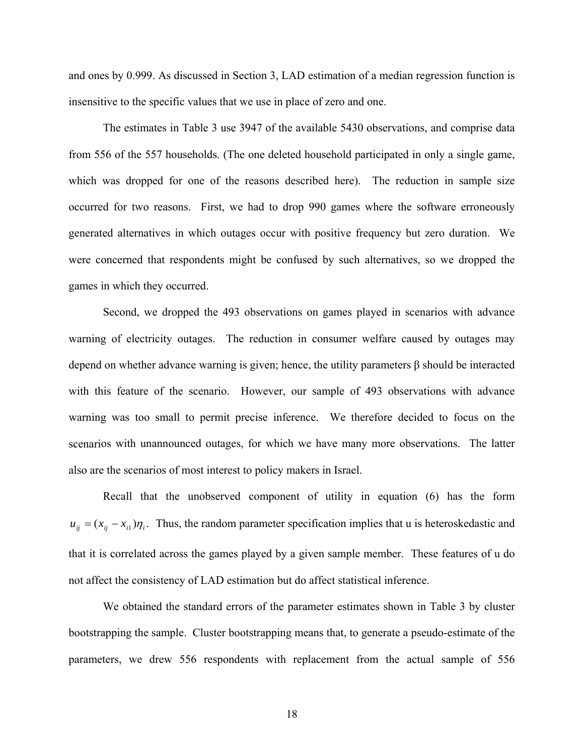and ones by 0.999. As discussed in Section 3, LAD estimation of a median regression function is insensitive to the specific values that we use in place of zero and one.

The estimates in Table 3 use 3947 of the available 5430 observations, and comprise data from 55 6 of the 557 households. (The one deleted household participated in only a single game, generated alternatives in which outages occur with positive frequency but zero duration. We were c oncerned that respondents might be confused by such alternatives, so we dropped the which was dropped for one of the reasons described here). The reduction in sample size occurred for two reasons. First, we had to drop 990 games where the software erroneously games in which they occurred.

warning was too small to permit precise inference. We therefore decided to focus on the scenari os with unannounced outages, for which we have many more observations. The latter Second, we dropped the 493 observations on games played in scenarios with advance warning of electricity outages. The reduction in consumer welfare caused by outages may depend on whether advance warning is given; hence, the utility parameters β should be interacted with this feature of the scenario. However, our sample of 493 observations with advance also are the scenarios of most interest to policy makers in Israel.

Recall that the unobserved component of utility in equation (6) has the form  $u_{ij} = (x_{ij} - x_{i})\eta_i$ . Thus, the random parameter specification implies that u is heteroskedastic and that it is correlated across the games played by a given sample member. These features of u do not affect the consistency of LAD estimation but do affect statistical inference.

We obtained the standard errors of the parameter estimates shown in Table 3 by cluster bootstr apping the sample. Cluster bootstrapping means that, to generate a pseudo-estimate of the parameters, we drew 556 respondents with replacement from the actual sample of 556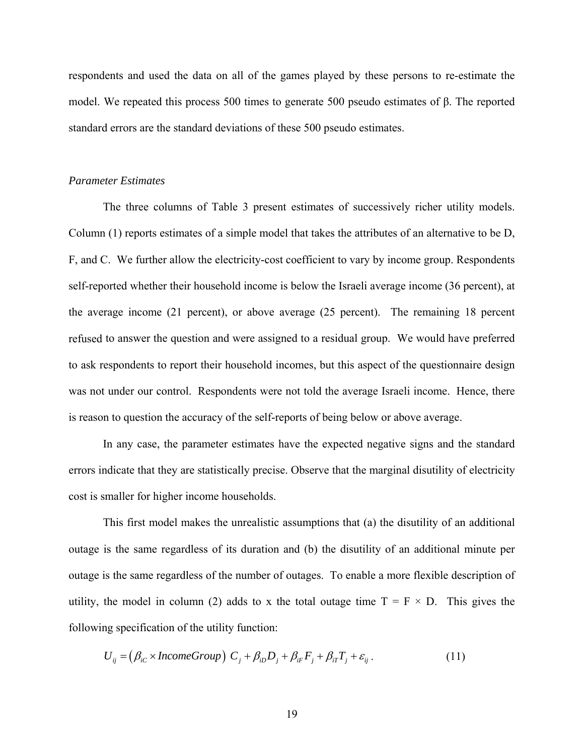respondents and used the data on all of the games played by these persons to re-estimate the model. We repeated this process 500 times to generate 500 pseudo estimates of β. The reported standar d errors are the standard deviations of these 500 pseudo estimates.

#### *Parameter Estimates*

F, and C. We further allow the electricity-cost coefficient to vary by income group. Respondents self-reported whether their household income is below the Israeli average income (36 percent), at the average income (21 percent), or above average (25 percent). The remaining 18 percent refused to answer the question and were assigned to a residual group. We would have preferred The three columns of Table 3 present estimates of successively richer utility models. Column (1) reports estimates of a simple model that takes the attributes of an alternative to be D, to ask respondents to report their household incomes, but this aspect of the questionnaire design was not under our control. Respondents were not told the average Israeli income. Hence, there is reason to question the accuracy of the self-reports of being below or above average.

In any case, the parameter estimates have the expected negative signs and the standard errors indicate that they are statistically precise. Observe that the marginal disutility of electricity cost is smaller for higher income households.

outage is the same regardless of its duration and (b) the disutility of an additional minute per outage is the same regardless of the number of outages. To enable a more flexible description of This first model makes the unrealistic assumptions that (a) the disutility of an additional utility, the model in column (2) adds to x the total outage time  $T = F \times D$ . This gives the following specification of the utility function:

$$
U_{ij} = (\beta_{iC} \times IncomeGroup) \ C_j + \beta_{iD}D_j + \beta_{iF}F_j + \beta_{iT}T_j + \varepsilon_{ij} \ . \tag{11}
$$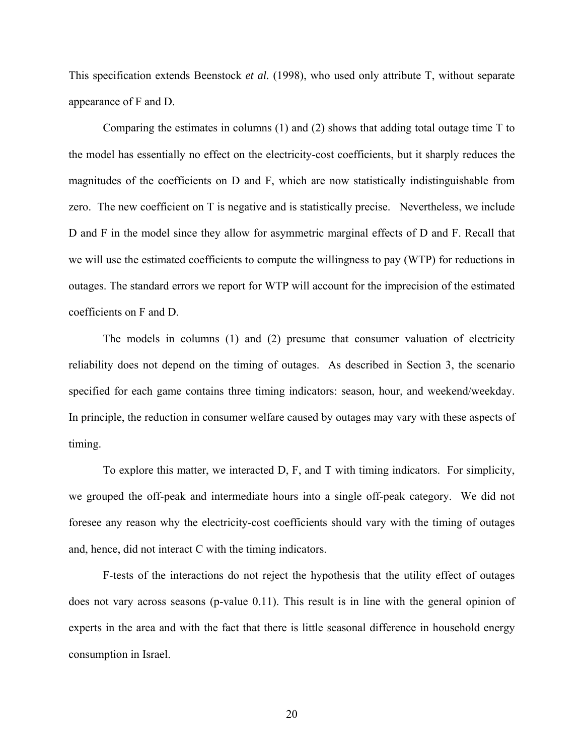This specification extends Beenstock *et al.* (1998), who used only attribute T, without separate appearance of F and D.

 Comparing the estimates in columns (1) and (2) shows that adding total outage time T to the model has essentially no effect on the electricity-cost coefficients, but it sharply reduces the magnitudes of the coefficients on  $D$  and  $F$ , which are now statistically indistinguishable from D and F in the model since they allow for asymmetric marginal effects of D and F. Recall that zero. The new coefficient on T is negative and is statistically precise. Nevertheless, we include we will use the estimated coefficients to compute the willingness to pay (WTP) for reductions in outages. The standard errors we report for WTP will account for the imprecision of the estimated coefficients on F and D.

The models in columns (1) and (2) presume that consumer valuation of electricity reliability does not depend on the timing of outages. As described in Section 3, the scenario specified for each game contains three timing indicators: season, hour, and weekend/weekday. In principle, the reduction in consumer welfare caused by outages may vary with these aspects of timing.

To explore this matter, we interacted D, F, and T with timing indicators. For simplicity, we grouped the off-peak and intermediate hours into a single off-peak category. We did not foresee any reason why the electricity-cost coefficients should vary with the timing of outages and, hence, did not interact C with the timing indicators.

F-tests of the interactions do not reject the hypothesis that the utility effect of outages does no t vary across seasons (p-value 0.11). This result is in line with the general opinion of experts in the area and with the fact that there is little seasonal difference in household energy consumption in Israel.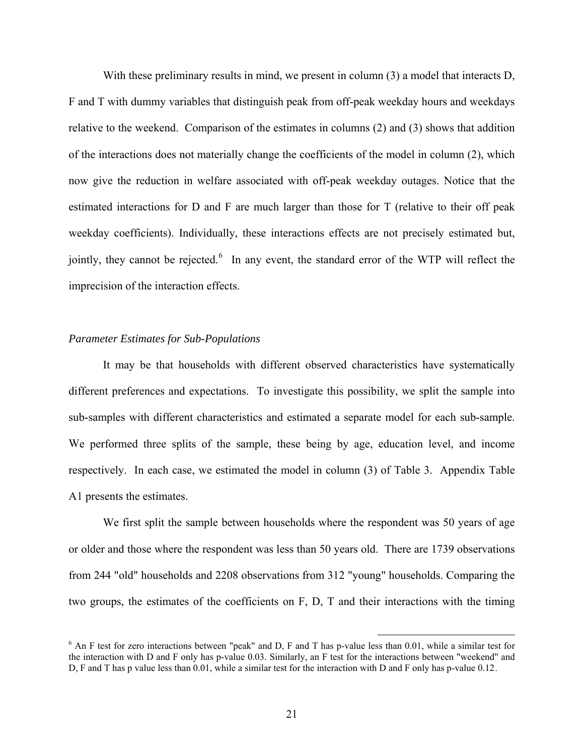<span id="page-22-0"></span>With these preliminary results in mind, we present in column (3) a model that interacts D, F and T with dummy variables that distinguish peak from off-peak weekday hours and weekdays now give the reduction in welfare associated with off-peak weekday outages. Notice that the estimat ed interactions for D and F are much larger than those for T (relative to their off peak relative to the weekend. Comparison of the estimates in columns (2) and (3) shows that addition of the interactions does not materially change the coefficients of the model in column (2), which weekday coefficients). Individually, these interactions effects are not precisely estimated but, jointly, they cannot be rejected.<sup>[6](#page-22-0)</sup> In any event, the standard error of the WTP will reflect the imprecision of the interaction effects.

#### *Parameter Estimates for Sub-Populations*

sub-samples with different characteristics and estimated a separate model for each sub-sample. We performed three splits of the sample, these being by age, education level, and income respectively. In each case, we estimated the model in column (3) of Table 3. Appendix Table A1 pre sents the estimates. It may be that households with different observed characteristics have systematically different preferences and expectations. To investigate this possibility, we split the sample into

two groups, the estimates of the coefficients on F, D, T and their interactions with the timing We first split the sample between households where the respondent was 50 years of age or older and those where the respondent was less than 50 years old. There are 1739 observations from 244 "old" households and 2208 observations from 312 "young" households. Comparing the

 $\overline{a}$ 

 $6$  An F test for zero interactions between "peak" and D, F and T has p-value less than 0.01, while a similar test for the interaction with D and F only has p-value 0.03. Similarly, an F test for the interactions between "weekend" and D. F and T has p value less than 0.01, while a similar test for the interaction with D and F only has p-value 0.12.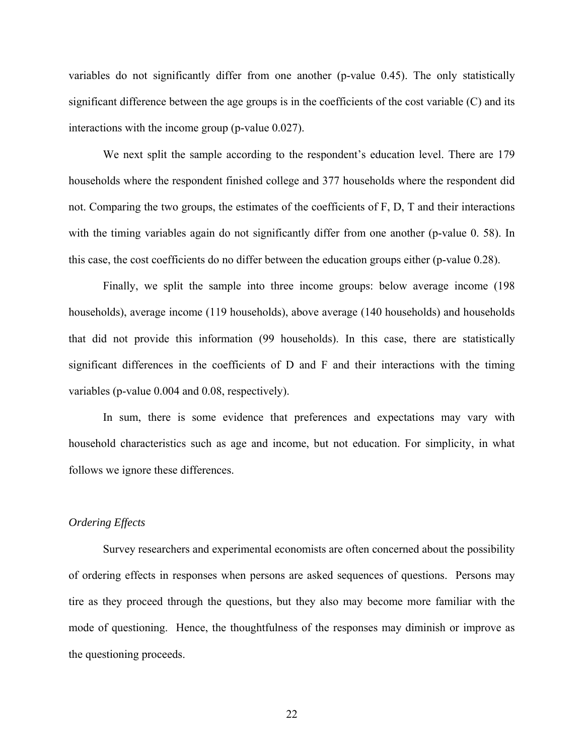variables do not significantly differ from one another (p-value 0.45). The only statistically significant difference between the age groups is in the coefficients of the cost variable (C) and its interact ions with the income group (p-value 0.027).

We next split the sample according to the respondent's education level. There are 179 households where the respondent finished college and 377 households where the respondent did not. Comparing the two groups, the estimates of the coefficients of F, D, T and their interactions with the timing variables again do not significantly differ from one another (p-value 0. 58). In this case, the cost coefficients do no differ between the education groups either (p-value 0.28).

Finally, we split the sample into three income groups: below average income (198 househ olds), average income (119 households), above average (140 households) and households that did not provide this information (99 households). In this case, there are statistically significant differences in the coefficients of D and F and their interactions with the timing variables (p-value 0.004 and 0.08, respectively).

In sum, there is some evidence that preferences and expectations may vary with househ old characteristics such as age and income, but not education. For simplicity, in what follows we ignore these differences.

#### *Ordering Effects*

Survey researchers and experimental economists are often concerned about the possibility of orde ring effects in responses when persons are asked sequences of questions. Persons may mode of questioning. Hence, the thoughtfulness of the responses may diminish or improve as the questioning proceeds. tire as they proceed through the questions, but they also may become more familiar with the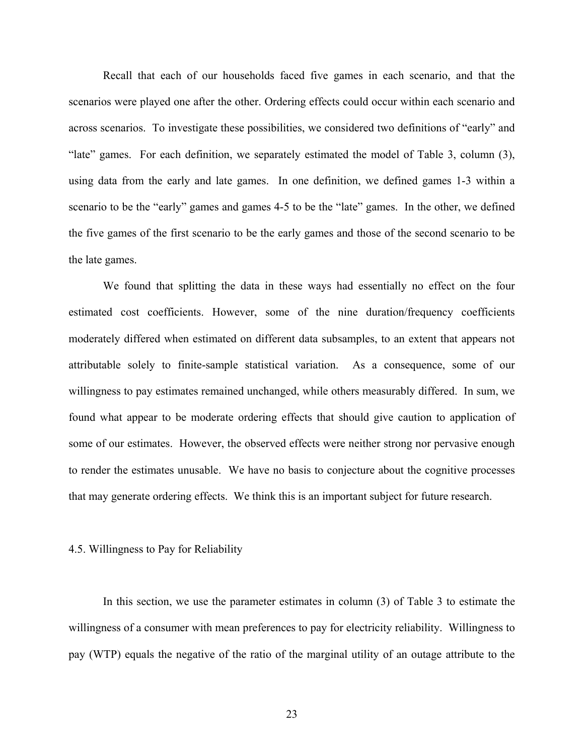Recall that each of our households faced five games in each scenario, and that the scenarios were played one after the other. Ordering effects could occur within each scenario and scenario to be the "early" games and games 4-5 to be the "late" games. In the other, we defined the five games of the first scenario to be the early games and those of the second scenario to be across scenarios. To investigate these possibilities, we considered two definitions of "early" and "late" games. For each definition, we separately estimated the model of Table 3, column (3), using data from the early and late games. In one definition, we defined games 1-3 within a the late games.

found what appear to be moderate ordering effects that should give caution to application of some o f our estimates. However, the observed effects were neither strong nor pervasive enough We found that splitting the data in these ways had essentially no effect on the four estimated cost coefficients. However, some of the nine duration/frequency coefficients moderately differed when estimated on different data subsamples, to an extent that appears not attributable solely to finite-sample statistical variation. As a consequence, some of our willingness to pay estimates remained unchanged, while others measurably differed. In sum, we to render the estimates unusable. We have no basis to conjecture about the cognitive processes that may generate ordering effects. We think this is an important subject for future research.

#### 4.5. Willingness to Pay for Reliability

pay (WTP) equals the negative of the ratio of the marginal utility of an outage attribute to the In this section, we use the parameter estimates in column (3) of Table 3 to estimate the willingness of a consumer with mean preferences to pay for electricity reliability. Willingness to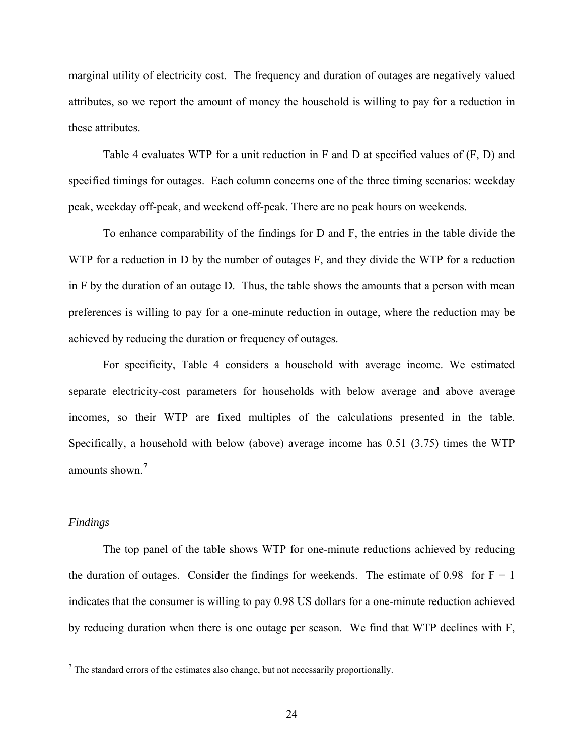marginal utility of electricity cost. The frequency and duration of outages are negatively valued attributes, so we report the amount of money the household is willing to pay for a reduction in these attributes.

Table 4 evaluates WTP for a unit reduction in F and D at specified values of (F, D) and specified timings for outages. Each column concerns one of the three timing scenarios: weekday peak, weekday off-peak, and weekend off-peak. There are no peak hours on weekends.

in F by the duration of an outage D. Thus, the table shows the amounts that a person with mean prefere nces is willing to pay for a one-minute reduction in outage, where the reduction may be To enhance comparability of the findings for D and F, the entries in the table divide the WTP for a reduction in D by the number of outages F, and they divide the WTP for a reduction achieved by reducing the duration or frequency of outages.

For specificity, Table 4 considers a household with average income. We estimated separat e electricity-cost parameters for households with below average and above average incomes, so their WTP are fixed multiples of the calculations presented in the table. Specifically, a household with below (above) average income has 0.51 (3.75) times the WTP amounts shown.<sup>7</sup>

### *Finding s*

by reducing duration when there is one outage per season. We find that WTP declines with F, The top panel of the table shows WTP for one-minute reductions achieved by reducing the duration of outages. Consider the findings for weekends. The estimate of 0.98 for  $F = 1$ indicates that the consumer is willing to pay 0.98 US dollars for a one-minute reduction achieved

1

 $<sup>7</sup>$  The standard errors of the estimates also change, but not necessarily proportionally.</sup>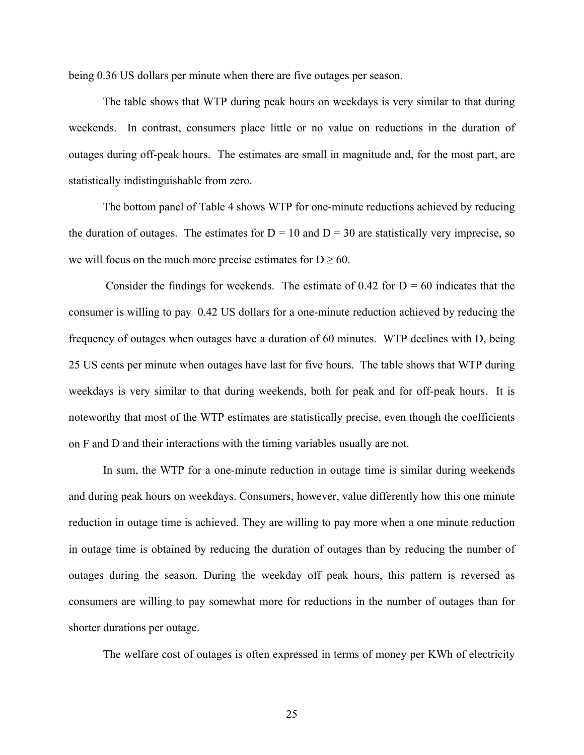being 0.36 US dollars per minute when there are five outages per season.

The table shows that WTP during peak hours on weekdays is very similar to that during weeken ds. In contrast, consumers place little or no value on reductions in the duration of outages during off-peak hours. The estimates are small in magnitude and, for the most part, are statistically indistinguishable from zero.

the duration of outages. The estimates for  $D = 10$  and  $D = 30$  are statistically very imprecise, so we will focus on the much more precise estimates for  $D \ge 60$ . The bottom panel of Table 4 shows WTP for one-minute reductions achieved by reducing

frequency of outages when outages have a duration of 60 minutes. WTP declines with D, being 25 US cents per minute when outages have last for five hours. The table shows that WTP during noteworthy that most of the WTP estimates are statistically precise, even though the coefficients on F an d D and their interactions with the timing variables usually are not. Consider the findings for weekends. The estimate of  $0.42$  for  $D = 60$  indicates that the consumer is willing to pay 0.42 US dollars for a one-minute reduction achieved by reducing the weekdays is very similar to that during weekends, both for peak and for off-peak hours. It is

consumers are willing to pay somewhat more for reductions in the number of outages than for shorter durations per outage. In sum, the WTP for a one-minute reduction in outage time is similar during weekends and during peak hours on weekdays. Consumers, however, value differently how this one minute reduction in outage time is achieved. They are willing to pay more when a one minute reduction in outage time is obtained by reducing the duration of outages than by reducing the number of outages during the season. During the weekday off peak hours, this pattern is reversed as

The welfare cost of outages is often expressed in terms of money per KWh of electricity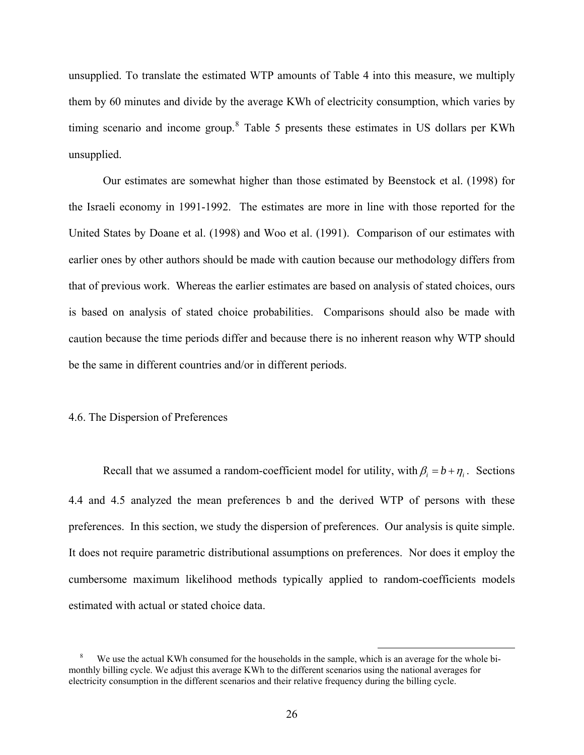unsupplied. To translate the estimated WTP amounts of Table 4 into this measure, we multiply them by 60 minutes and divide by the average KWh of electricity consumption, which varies by timing scenario and income group.<sup>8</sup> Table 5 presents these estimates in US dollars per KWh unsupplied.

Our estimates are somewhat higher than those estimated by Beenstock et al. (1998) for the Isra eli economy in 1991-1992. The estimates are more in line with those reported for the is based on analysis of stated choice probabilities. Comparisons should also be made with caution because the time periods differ and because there is no inherent reason why WTP should United States by Doane et al. (1998) and Woo et al. (1991). Comparison of our estimates with earlier ones by other authors should be made with caution because our methodology differs from that of previous work. Whereas the earlier estimates are based on analysis of stated choices, ours be the same in different countries and/or in different periods.

#### 4.6. The Dispersion of Preferences

Recall that we assumed a random-coefficient model for utility, with  $\beta_i = b + \eta_i$ . Sections 4.4 and 4.5 analyzed the mean preferences b and the derived WTP of persons with these preferences. In this section, we study the dispersion of preferences. Our analysis is quite simple. It does not require parametric distributional assumptions on preferences. Nor does it employ the cumbersome maximum likelihood methods typically applied to random-coefficients models estimated with actual or stated choice data.

1

<sup>&</sup>lt;sup>8</sup> We use the actual KWh consumed for the households in the sample, which is an average for the whole bimonthly billing cycle. We adjust this average KWh to the different scenarios using the national averages for electricity consumption in the different scenarios and their relative frequency during the billing cycle.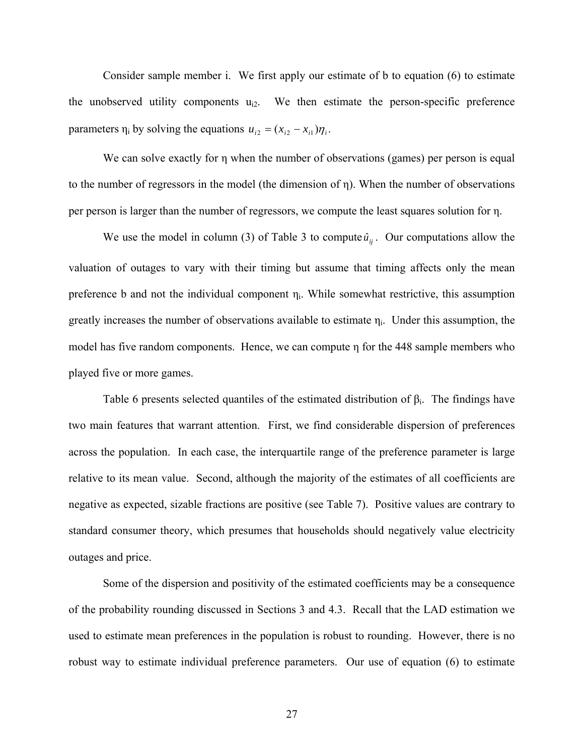Consider sample member i. We first apply our estimate of b to equation (6) to estimate the unobserved utility components  $u_{i2}$ . We then estimate the person-specific preference parameters  $\eta_i$  by solving the equations  $u_{i2} = (x_{i2} - x_{i1})\eta_i$ .

We can solve exactly for η when the number of observations (games) per person is equal to the number of regressors in the model (the dimension of η). When the number of observations per person is larger than the number of regressors, we compute the least squares solution for η.

We use the model in column (3) of Table 3 to compute  $\hat{u}_{ij}$ . Our computations allow the valuatio n of outages to vary with their timing but assume that timing affects only the mean greatly increases the number of observations available to estimate  $\eta_i$ . Under this assumption, the model has five random components. Hence, we can compute η for the 448 sample members who preference b and not the individual component  $\eta_i$ . While somewhat restrictive, this assumption played five or more games.

Table 6 presents selected quantiles of the estimated distribution of  $\beta_i$ . The findings have two ma in features that warrant attention. First, we find considerable dispersion of preferences across the population. In each case, the interquartile range of the preference parameter is large relative to its mean value. Second, although the majority of the estimates of all coefficients are negative as expected, sizable fractions are positive (see Table 7). Positive values are contrary to standard consumer theory, which presumes that households should negatively value electricity outages and price.

Some of the dispersion and positivity of the estimated coefficients may be a consequence of the probability rounding discussed in Sections 3 and 4.3. Recall that the LAD estimation we used to estimate mean preferences in the population is robust to rounding. However, there is no robust way to estimate individual preference parameters. Our use of equation (6) to estimate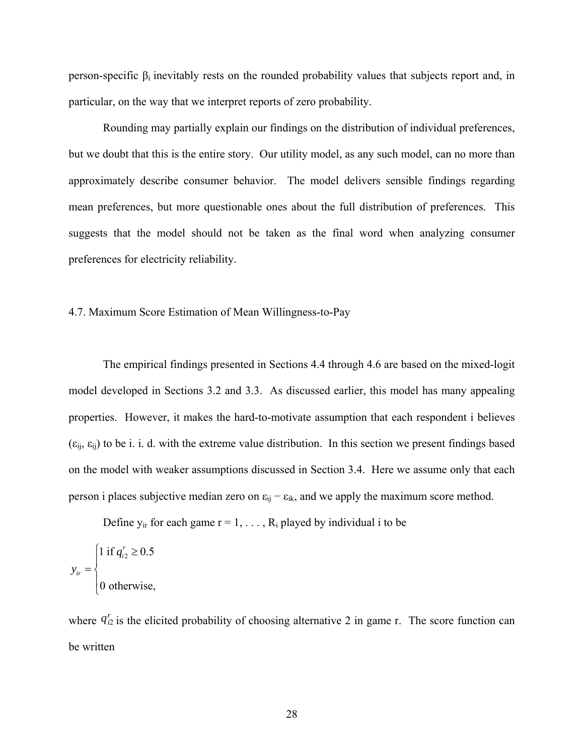person-specific  $β<sub>i</sub>$  inevitably rests on the rounded probability values that subjects report and, in particular, on the way that we interpret reports of zero probability.

Rounding may partially explain our findings on the distribution of individual preferences, but we doubt that this is the entire story. Our utility model, as any such model, can no more than approximately describe consumer behavior. The model delivers sensible findings regarding mean preferences, but more questionable ones about the full distribution of preferences. This suggests that the model should not be taken as the final word when analyzing consumer preferences for electricity reliability.

#### 4.7. Ma ximum Score Estimation of Mean Willingness-to-Pay

 $(\epsilon_{ij}, \epsilon_{ij})$  to be i. i. d. with the extreme value distribution. In this section we present findings based on the model with weaker assumptions discussed in Section 3.4. Here we assume only that each person i places subjective median zero on  $\varepsilon_{ij} - \varepsilon_{ik}$ , and we apply the maximum score method. The empirical findings presented in Sections 4.4 through 4.6 are based on the mixed-logit model developed in Sections 3.2 and 3.3. As discussed earlier, this model has many appealing properties. However, it makes the hard-to-motivate assumption that each respondent i believes

Define  $y_{ir}$  for each game  $r = 1, \ldots, R_i$  played by individual i to be

$$
y_{ir} = \begin{cases} 1 \text{ if } q_{i2}^r \ge 0.5 \\ 0 \text{ otherwise,} \end{cases}
$$

where  $q_{i2}^r$  is the elicited probability of choosing alternative 2 in game r. The score function can be written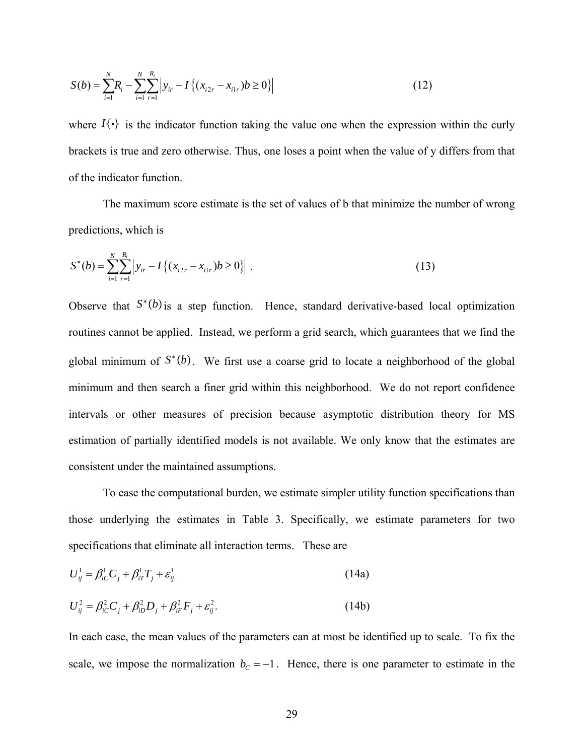$$
S(b) = \sum_{i=1}^{N} R_i - \sum_{i=1}^{N} \sum_{r=1}^{R_i} \left| y_{ir} - I\left\{ (x_{i2r} - x_{i1r})b \ge 0 \right\} \right|
$$
 (12)

where  $I\{\cdot\}$  is the indicator function taking the value one when the expression within the curly brackets is true and zero otherwise. Thus, one loses a point when the value of y differs from that of the indicator function.

The maximum score estimate is the set of values of b that minimize the number of wrong predictions, which is

$$
S^*(b) = \sum_{i=1}^N \sum_{r=1}^{R_i} \left| y_{ir} - I \left\{ (x_{i2r} - x_{i1r})b \ge 0 \right\} \right|.
$$
 (13)

Observe that  $S^*(b)$  is a step function. Hence, standard derivative-based local optimization minimum and then search a finer grid within this neighborhood. We do not report confidence interva ls or other measures of precision because asymptotic distribution theory for MS estimation of partially identified models is not available. We only know that the estimates are consistent under the maintained assump tions. routines cannot be applied. Instead, we perform a grid search, which guarantees that we find the global minimum of *S*<sup>∗</sup>*b*. We first use a coarse grid to locate a neighborhood of the global

To ease the computational burden, we estimate simpler utility function specifications than specifications that eliminate all interaction terms. These are those underlying the estimates in Table 3. Specifically, we estimate parameters for two

$$
U_{ij}^1 = \beta_{i}^1 C_j + \beta_{i}^1 T_j + \varepsilon_{ij}^1 \tag{14a}
$$

$$
U_{ij}^2 = \beta_{ic}^2 C_j + \beta_{iD}^2 D_j + \beta_{ir}^2 F_j + \varepsilon_{ij}^2.
$$
 (14b)

In each case, the mean values of the parameters can at most be identified up to scale. To fix the scale, we impose the normalization  $b_c = -1$ . Hence, there is one parameter to estimate in the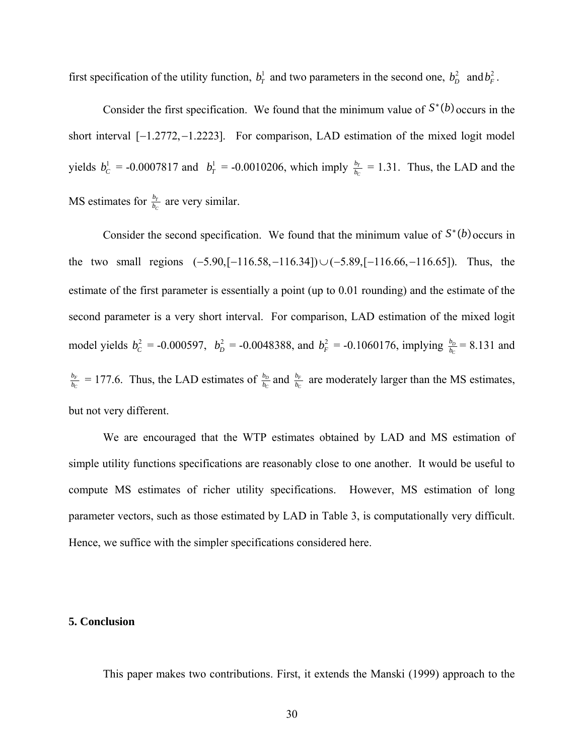first specification of the utility function,  $b_T^1$  and two parameters in the second one,  $b_D^2$  and  $b_F^2$ .

Consider the first specification. We found that the minimum value of  $S^*(b)$  occurs in the short interval  $[-1.2772, -1.2223]$ . For comparison, LAD estimation of the mixed logit model yields  $b_c^1 = -0.0007817$  and  $b_T^1 = -0.0010206$ , which imply  $\frac{b_T}{b_c}$  $\frac{b_r}{b_c}$  = 1.31. Thus, the LAD and the MS estimates for  $\frac{b_7}{b_1}$ *C*  $\frac{b_r}{b_c}$  are very similar.

Consider the second specification. We found that the minimum value of  $S^*(b)$  occurs in the two small regions  $(-5.90, [-116.58, -116.34]) \cup (-5.89, [-116.66, -116.65])$ . Thus, the estimate of the first parameter is essentially a point (up to  $0.01$  rounding) and the estimate of the model yields  $b_c^2 = -0.000597$ ,  $b_D^2 = -0.0048388$ , and  $b_F^2 = -0.1060176$ , implying  $\frac{b_D}{b_c} = 8.131$  and second parameter is a very short interval. For comparison, LAD estimation of the mixed logit *F C*  $\frac{b_F}{b_C}$  = 177.6. Thus, the LAD estimates of  $\frac{b_D}{b_C}$  $\frac{b_D}{b_C}$  and  $\frac{b_F}{b_C}$  $\frac{b_F}{b_C}$  are moderately larger than the MS estimates, but not very different.

simple utility functions specifications are reasonably close to one another. It would be useful to Hence, we suffice with the simpler specifications considered here. We are encouraged that the WTP estimates obtained by LAD and MS estimation of compute MS estimates of richer utility specifications. However, MS estimation of long parameter vectors, such as those estimated by LAD in Table 3, is computationally very difficult.

#### **5. Conclusion**

This paper makes two contributions. First, it extends the Manski (1999) approach to the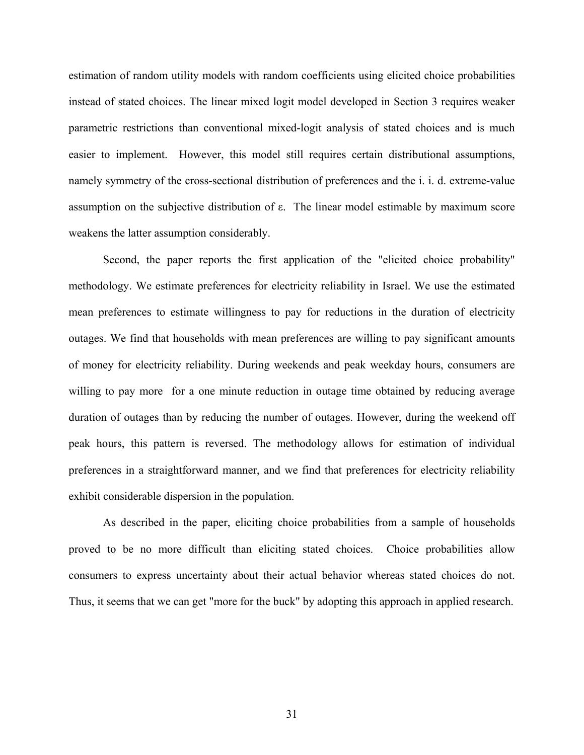estimation of random utility models with random coefficients using elicited choice probabilities instead of stated choices. The linear mixed logit model developed in Section 3 requires weaker parametric restrictions than conventional mixed-logit analysis of stated choices and is much easier to implement. However, this model still requires certain distributional assumptions, amely symmetry of the cross-sectional distribution of preferences and the i. i. d. extreme-value n assumption on the subjective distribution of  $\varepsilon$ . The linear model estimable by maximum score weakens the latter assumption considerably.

peak hours, this pattern is reversed. The methodology allows for estimation of individual prefere nces in a straightforward manner, and we find that preferences for electricity reliability Second, the paper reports the first application of the "elicited choice probability" methodology. We estimate preferences for electricity reliability in Israel. We use the estimated mean preferences to estimate willingness to pay for reductions in the duration of electricity outages. We find that households with mean preferences are willing to pay significant amounts of money for electricity reliability. During weekends and peak weekday hours, consumers are willing to pay more for a one minute reduction in outage time obtained by reducing average duration of outages than by reducing the number of outages. However, during the weekend off exhibit considerable dispersion in the population.

As described in the paper, eliciting choice probabilities from a sample of households proved to be no more difficult than eliciting stated choices. Choice probabilities allow consumers to express uncertainty about their actual behavior whereas stated choices do not. Thus, it seems that we can get "more for the buck" by adopting this approach in applied research.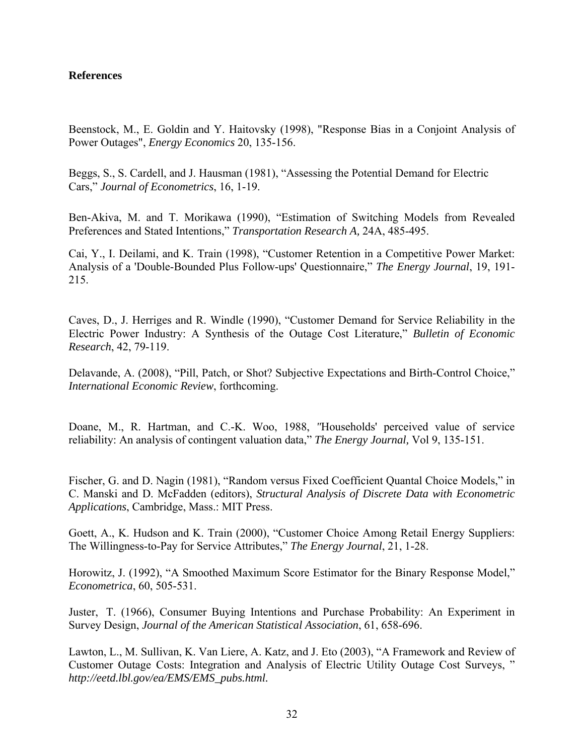# **References**

Beenstock, M., E. Goldin and Y. Haitovsky (1998), "Response Bias in a Conjoint Analysis of Power Outages", *Energy Economics* 20, 135-156.

Beggs, S., S. Cardell, and J. Hausman (1981), "Assessing the Potential Demand for Electric Cars," *Journal of Econometrics*, 16, 1-19.

Ben-Akiva, M. and T. Morikawa (1990), "Estimation of Switching Models from Revealed Preferences and Stated Intentions," *Transportation Research A,* 24A, 485-495.

Cai, Y., I. Deilami, and K. Train (1998), "Customer Retention in a Competitive Power Market: Analysis of a 'Double-Bounded Plus Follow-ups' Questionnaire," *The Energy Journal*, 19, 191- 215.

Caves, D., J. Herriges and R. Windle (1990), "Customer Demand for Service Reliability in the Electric Power Industry: A Synthesis of the Outage Cost Literature," *Bulletin of Economic Research*, 42, 79-119.

Delavande, A. (2008), "Pill, Patch, or Shot? Subjective Expectations and Birth-Control Choice," *International Economic Review*, forthcoming.

Doane, M., R. Hartman, and C.-K. Woo, 1988, *"*Households' perceived value of service reliability: An analysis of contingent valuation data," *The Energy Journal,* Vol 9, 135-151.

Fischer, G. and D. Nagin (1981), "Random versus Fixed Coefficient Quantal Choice Models," in C. Manski and D. McFadden (editors), *Structural Analysis of Discrete Data with Econometric Applications*, Cambridge, Mass.: MIT Press.

Goett, A., K. Hudson and K. Train (2000), "Customer Choice Among Retail Energy Suppliers: The Willingness-to-Pay for Service Attributes," *The Energy Journal*, 21, 1-28.

Horowitz, J. (1992), "A Smoothed Maximum Score Estimator for the Binary Response Model," *Econometrica*, 60, 505-531.

Juster, T. (1966), Consumer Buying Intentions and Purchase Probability: An Experiment in Survey Design, *Journal of the American Statistical Association*, 61, 658-696.

Lawton, L., M. Sullivan, K. Van Liere, A. Katz, and J. Eto (2003), "A Framework and Review of Customer Outage Costs: Integration and Analysis of Electric Utility Outage Cost Surveys, " *http://eetd.lbl.gov/ea/EMS/EMS\_pubs.html.*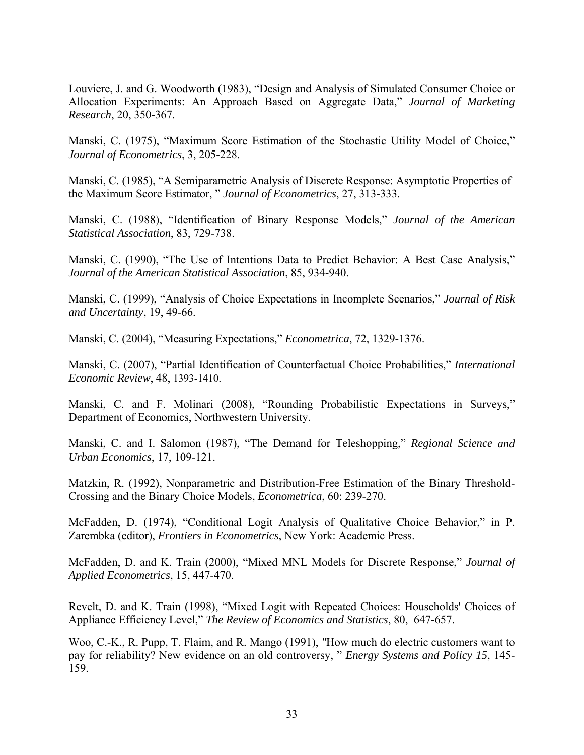Louviere, J. and G. Woodworth (1983), "Design and Analysis of Simulated Consumer Choice or Allocation Experiments: An Approach Based on Aggregate Data," Journal of Marketing , 20, 350-367. *Research*

Manski, C. (1975), "Maximum Score Estimation of the Stochastic Utility Model of Choice," *Journal of Econometrics*, 3, 205-228.

Manski, C. (1985), "A Semiparametric Analysis of Discrete Response: Asymptotic Properties of *of Econometrics*, 27, 313-333. the Maximum Score Estimator, " *Journal* 

Manski, C. (1988), "Identification of Binary Response Models," *Journal of the American Statistical Association*, 83, 729-738.

Manski, C. (1990), "The Use of Intentions Data to Predict Behavior: A Best Case Analysis," *Journal of the American Statistical Association*, 85, 934-940.

Manski, C. (1999), "Analysis of Choice Expectations in Incomplete Scenarios," Journal of Risk *and Uncertainty*, 19, 49-66.

Manski, C. (2004), "Measuring Expectations," *Econometrica*, 72, 1329-1376.

Manski, C. (2007), "Partial Identification of Counterfactual Choice Probabilities," *International Economic Review*, 48, 1393-1410.

Manski, C. and F. Molinari (2008), "Rounding Probabilistic Expectations in Surveys," Department of Economics, Northwestern University.

Manski, C. and I. Salomon (1987), "The Demand for Teleshopping," *Regional Science and rban Economics*, 17, 109-121. *U*

Matzkin, R. (1992), Nonparametric and Distribution-Free Estimation of the Binary Threshold-Crossing and the Binary Choice Models, *Econometrica*, 60: 239-270.

McFadden, D. (1974), "Conditional Logit Analysis of Qualitative Choice Behavior," in P. Zarembka (editor), *Frontiers in Econometrics*, New York: Academic Press.

McFadden, D. and K. Train (2000), "Mixed MNL Models for Discrete Response," *Journal of Applied Econometrics*, 15, 447-470.

Revelt, D. and K. Train (1998), "Mixed Logit with Repeated Choices: Households' Choices of Appliance Efficiency Level," *The Review of Economics and Statistics*, 80, 647-657.

Woo, C.-K., R. Pupp, T. Flaim, and R. Mango (1991), *"*How much do electric customers want to pay for reliability? New evidence on an old controversy, " *Energy Systems and Policy 15*, 145- 159.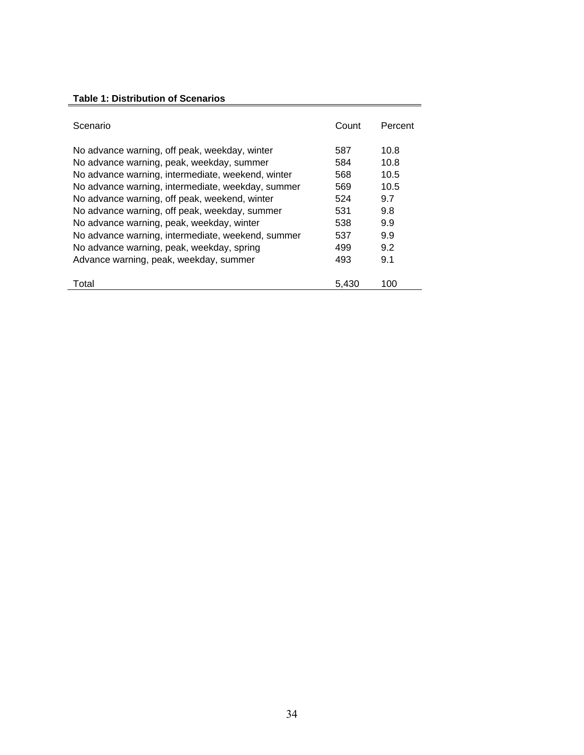# **Table 1: Distribution of Scenarios**

| Scenario                                          | Count | Percent |
|---------------------------------------------------|-------|---------|
| No advance warning, off peak, weekday, winter     | 587   | 10.8    |
| No advance warning, peak, weekday, summer         | 584   | 10.8    |
| No advance warning, intermediate, weekend, winter | 568   | 10.5    |
| No advance warning, intermediate, weekday, summer | 569   | 10.5    |
| No advance warning, off peak, weekend, winter     | 524   | 9.7     |
| No advance warning, off peak, weekday, summer     | 531   | 9.8     |
| No advance warning, peak, weekday, winter         | 538   | 9.9     |
| No advance warning, intermediate, weekend, summer | 537   | 9.9     |
| No advance warning, peak, weekday, spring         | 499   | 9.2     |
| Advance warning, peak, weekday, summer            | 493   | 9.1     |
| Total                                             | 5,430 | 100     |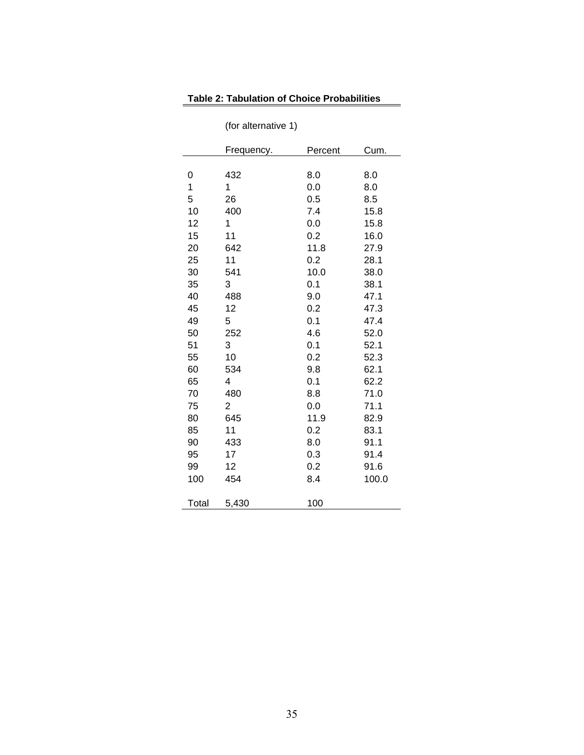# **Table 2: Tabulation of Choice Probabilities**

|       | Frequency. | Percent | Cum.  |
|-------|------------|---------|-------|
|       |            |         |       |
| 0     | 432        | 8.0     | 8.0   |
| 1     | 1          | 0.0     | 8.0   |
| 5     | 26         | 0.5     | 8.5   |
| 10    | 400        | 7.4     | 15.8  |
| 12    | 1          | 0.0     | 15.8  |
| 15    | 11         | 0.2     | 16.0  |
| 20    | 642        | 11.8    | 27.9  |
| 25    | 11         | 0.2     | 28.1  |
| 30    | 541        | 10.0    | 38.0  |
| 35    | 3          | 0.1     | 38.1  |
| 40    | 488        | 9.0     | 47.1  |
| 45    | 12         | 0.2     | 47.3  |
| 49    | 5          | 0.1     | 47.4  |
| 50    | 252        | 4.6     | 52.0  |
| 51    | 3          | 0.1     | 52.1  |
| 55    | 10         | 0.2     | 52.3  |
| 60    | 534        | 9.8     | 62.1  |
| 65    | 4          | 0.1     | 62.2  |
| 70    | 480        | 8.8     | 71.0  |
| 75    | 2          | 0.0     | 71.1  |
| 80    | 645        | 11.9    | 82.9  |
| 85    | 11         | 0.2     | 83.1  |
| 90    | 433        | 8.0     | 91.1  |
| 95    | 17         | 0.3     | 91.4  |
| 99    | 12         | 0.2     | 91.6  |
| 100   | 454        | 8.4     | 100.0 |
| Total | 5,430      | 100     |       |

(for alternative 1)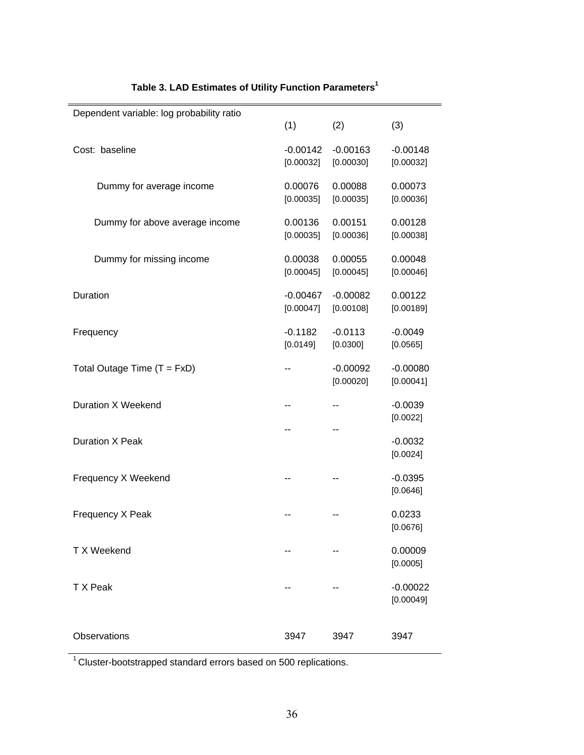| Dependent variable: log probability ratio | (1)                     | (2)                     | (3)                     |
|-------------------------------------------|-------------------------|-------------------------|-------------------------|
| Cost: baseline                            | $-0.00142$<br>[0.00032] | $-0.00163$<br>[0.00030] | $-0.00148$<br>[0.00032] |
| Dummy for average income                  | 0.00076<br>[0.00035]    | 0.00088<br>[0.00035]    | 0.00073<br>[0.00036]    |
| Dummy for above average income            | 0.00136<br>[0.00035]    | 0.00151<br>[0.00036]    | 0.00128<br>[0.00038]    |
| Dummy for missing income                  | 0.00038<br>[0.00045]    | 0.00055<br>[0.00045]    | 0.00048<br>[0.00046]    |
| Duration                                  | $-0.00467$<br>[0.00047] | $-0.00082$<br>[0.00108] | 0.00122<br>[0.00189]    |
| Frequency                                 | $-0.1182$<br>[0.0149]   | $-0.0113$<br>[0.0300]   | $-0.0049$<br>[0.0565]   |
| Total Outage Time $(T = FxD)$             |                         | $-0.00092$<br>[0.00020] | $-0.00080$<br>[0.00041] |
| Duration X Weekend                        |                         | --                      | $-0.0039$<br>[0.0022]   |
| <b>Duration X Peak</b>                    |                         | --                      | $-0.0032$<br>[0.0024]   |
| Frequency X Weekend                       |                         |                         | $-0.0395$<br>[0.0646]   |
| Frequency X Peak                          |                         |                         | 0.0233<br>[0.0676]      |
| T X Weekend                               |                         |                         | 0.00009<br>[0.0005]     |
| T X Peak                                  |                         |                         | $-0.00022$<br>[0.00049] |
| <b>Observations</b>                       | 3947                    | 3947                    | 3947                    |

# **Table 3. LAD Estimates of Utility Function Parameters1**

1 Cluster-bootstrapped standard errors based on 500 replications.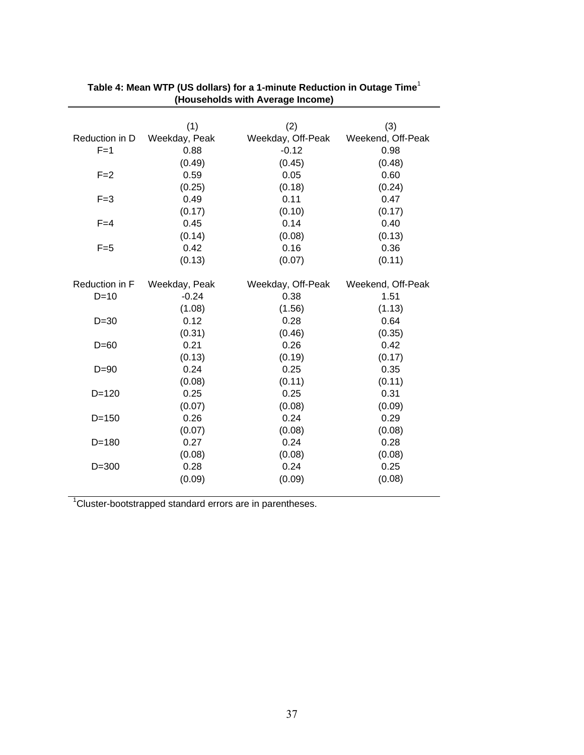|                | (1)           | (2)               | (3)               |
|----------------|---------------|-------------------|-------------------|
| Reduction in D | Weekday, Peak | Weekday, Off-Peak | Weekend, Off-Peak |
| $F=1$          | 0.88          | $-0.12$           | 0.98              |
|                | (0.49)        | (0.45)            | (0.48)            |
| $F = 2$        | 0.59          | 0.05              | 0.60              |
|                | (0.25)        | (0.18)            | (0.24)            |
| $F = 3$        | 0.49          | 0.11              | 0.47              |
|                | (0.17)        | (0.10)            | (0.17)            |
| $F=4$          | 0.45          | 0.14              | 0.40              |
|                | (0.14)        | (0.08)            | (0.13)            |
| $F=5$          | 0.42          | 0.16              | 0.36              |
|                | (0.13)        | (0.07)            | (0.11)            |
| Reduction in F | Weekday, Peak | Weekday, Off-Peak | Weekend, Off-Peak |
| $D=10$         | $-0.24$       | 0.38              | 1.51              |
|                | (1.08)        | (1.56)            | (1.13)            |
| $D=30$         | 0.12          | 0.28              | 0.64              |
|                | (0.31)        | (0.46)            | (0.35)            |
| $D=60$         | 0.21          | 0.26              | 0.42              |
|                | (0.13)        | (0.19)            | (0.17)            |
|                | 0.24          | 0.25              | 0.35              |
| $D = 90$       |               |                   |                   |
|                | (0.08)        | (0.11)            | (0.11)            |
| $D = 120$      | 0.25          | 0.25              | 0.31              |
|                | (0.07)        | (0.08)            | (0.09)            |
| $D = 150$      | 0.26          | 0.24              | 0.29              |
|                | (0.07)        | (0.08)            | (0.08)            |
| $D = 180$      | 0.27          | 0.24              | 0.28              |
|                | (0.08)        | (0.08)            | (0.08)            |
| $D = 300$      | 0.28          | 0.24              | 0.25              |
|                | (0.09)        | (0.09)            | (0.08)            |

#### Table 4: Mean WTP (US dollars) for a 1-minute Reduction in Outage Time<sup>1</sup> **(Households with Average Income) ean WTP (US dollars) for a 1-minute Reduction in Outa Av**

 $1$ Cluster-bootstrapped standard errors are in parentheses.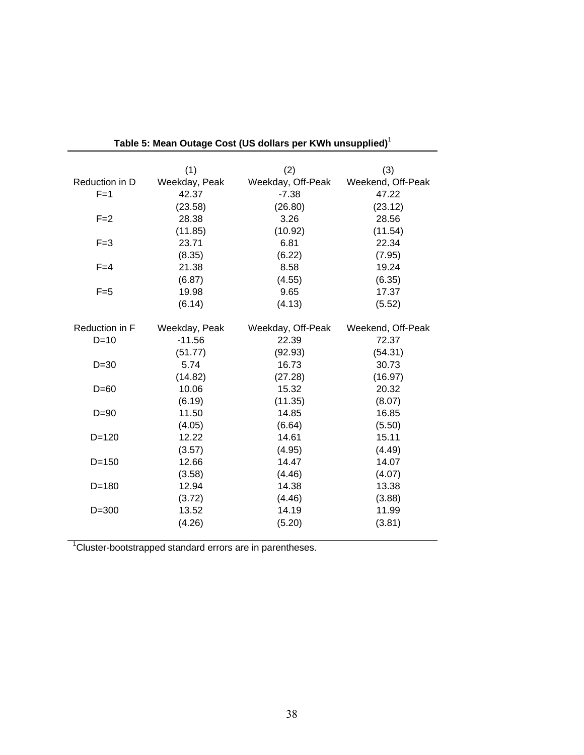|                | (1)           | (2)               | (3)               |
|----------------|---------------|-------------------|-------------------|
| Reduction in D | Weekday, Peak | Weekday, Off-Peak | Weekend, Off-Peak |
| $F=1$          | 42.37         | $-7.38$           | 47.22             |
|                | (23.58)       | (26.80)           | (23.12)           |
| $F = 2$        | 28.38         | 3.26              | 28.56             |
|                | (11.85)       | (10.92)           | (11.54)           |
| $F = 3$        | 23.71         | 6.81              | 22.34             |
|                | (8.35)        | (6.22)            | (7.95)            |
| $F=4$          | 21.38         | 8.58              | 19.24             |
|                | (6.87)        | (4.55)            | (6.35)            |
| $F=5$          | 19.98         | 9.65              | 17.37             |
|                | (6.14)        | (4.13)            | (5.52)            |
|                |               |                   |                   |
| Reduction in F | Weekday, Peak | Weekday, Off-Peak | Weekend, Off-Peak |
| $D=10$         | $-11.56$      | 22.39             | 72.37             |
|                | (51.77)       | (92.93)           | (54.31)           |
| $D=30$         | 5.74          | 16.73             | 30.73             |
|                | (14.82)       | (27.28)           | (16.97)           |
| $D=60$         | 10.06         | 15.32             | 20.32             |
|                | (6.19)        | (11.35)           | (8.07)            |
| $D=90$         | 11.50         | 14.85             | 16.85             |
|                | (4.05)        | (6.64)            | (5.50)            |
| $D = 120$      | 12.22         | 14.61             | 15.11             |
|                | (3.57)        | (4.95)            | (4.49)            |
| $D = 150$      | 12.66         | 14.47             | 14.07             |
|                | (3.58)        | (4.46)            | (4.07)            |
| $D = 180$      | 12.94         | 14.38             | 13.38             |
|                | (3.72)        | (4.46)            | (3.88)            |
| $D = 300$      | 13.52         | 14.19             | 11.99             |
|                | (4.26)        | (5.20)            | (3.81)            |

|  | Table 5: Mean Outage Cost (US dollars per KWh unsupplied) <sup>1</sup> |
|--|------------------------------------------------------------------------|
|  |                                                                        |

Cluster-bootstrapped standard errors are in parentheses. 1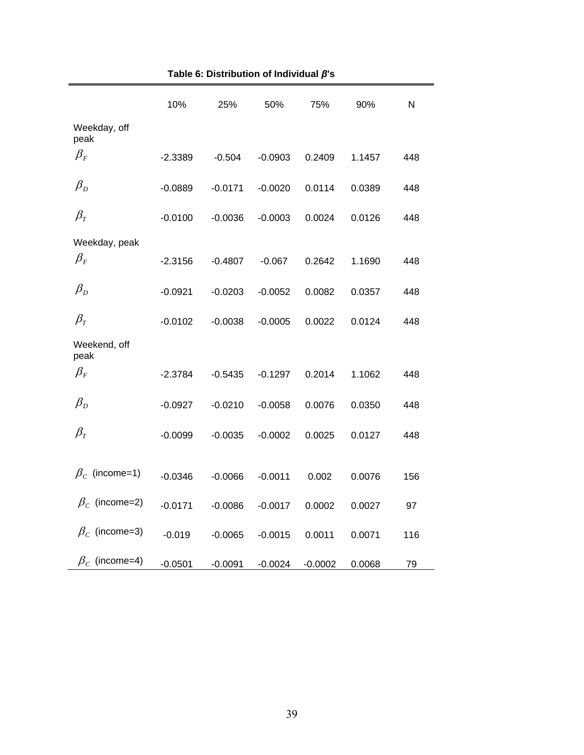|                                | 10%       | 25%       | 50%       | 75%       | 90%    | N   |
|--------------------------------|-----------|-----------|-----------|-----------|--------|-----|
| Weekday, off<br>peak           |           |           |           |           |        |     |
| $\beta_{\scriptscriptstyle F}$ | $-2.3389$ | $-0.504$  | $-0.0903$ | 0.2409    | 1.1457 | 448 |
| $\beta_{\scriptscriptstyle D}$ | $-0.0889$ | $-0.0171$ | $-0.0020$ | 0.0114    | 0.0389 | 448 |
| $\beta_{\tau}$                 | $-0.0100$ | $-0.0036$ | $-0.0003$ | 0.0024    | 0.0126 | 448 |
| Weekday, peak                  |           |           |           |           |        |     |
| $\beta_{\scriptscriptstyle F}$ | $-2.3156$ | $-0.4807$ | $-0.067$  | 0.2642    | 1.1690 | 448 |
| $\beta_{\scriptscriptstyle D}$ | $-0.0921$ | $-0.0203$ | $-0.0052$ | 0.0082    | 0.0357 | 448 |
| $\beta_{\scriptscriptstyle T}$ | $-0.0102$ | $-0.0038$ | $-0.0005$ | 0.0022    | 0.0124 | 448 |
| Weekend, off<br>peak           |           |           |           |           |        |     |
| $\beta_{\scriptscriptstyle F}$ | $-2.3784$ | $-0.5435$ | $-0.1297$ | 0.2014    | 1.1062 | 448 |
| $\beta_{\scriptscriptstyle D}$ | $-0.0927$ | $-0.0210$ | $-0.0058$ | 0.0076    | 0.0350 | 448 |
| $\beta_{\tau}$                 | $-0.0099$ | $-0.0035$ | $-0.0002$ | 0.0025    | 0.0127 | 448 |
| $\beta_c$ (income=1)           | $-0.0346$ | $-0.0066$ | $-0.0011$ | 0.002     | 0.0076 | 156 |
| $\beta_c$ (income=2)           | $-0.0171$ | $-0.0086$ | $-0.0017$ | 0.0002    | 0.0027 | 97  |
| $\beta_c$ (income=3)           | $-0.019$  | $-0.0065$ | $-0.0015$ | 0.0011    | 0.0071 | 116 |
| $\beta_c$ (income=4)           | $-0.0501$ | $-0.0091$ | $-0.0024$ | $-0.0002$ | 0.0068 | 79  |

**Table 6: Distribution of Individual** *β***'s**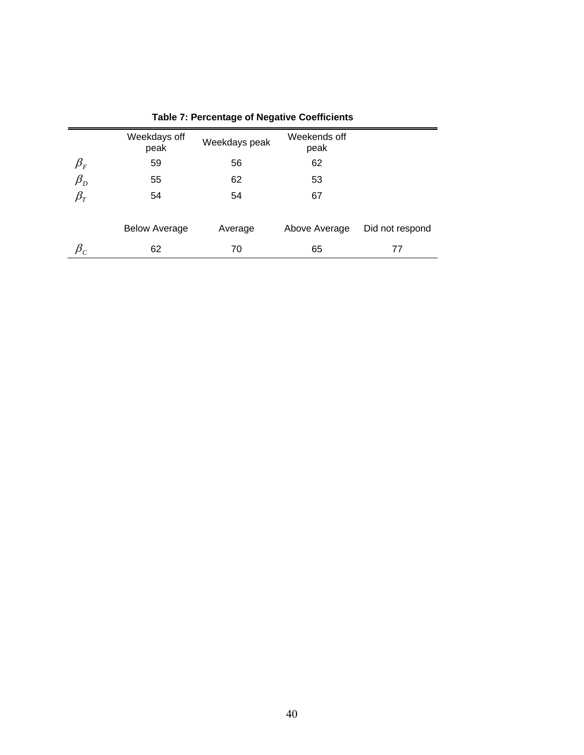|                                | Weekdays off<br>peak | Weekdays peak | Weekends off<br>peak |                 |
|--------------------------------|----------------------|---------------|----------------------|-----------------|
| $\beta_{\scriptscriptstyle F}$ | 59                   | 56            | 62                   |                 |
| $\beta_{D}$                    | 55                   | 62            | 53                   |                 |
| $\beta_{\tau}$                 | 54                   | 54            | 67                   |                 |
|                                |                      |               |                      |                 |
|                                | <b>Below Average</b> | Average       | Above Average        | Did not respond |
|                                | 62                   | 70            | 65                   | 77              |

# **Table 7: Percentage of Negative Coefficients**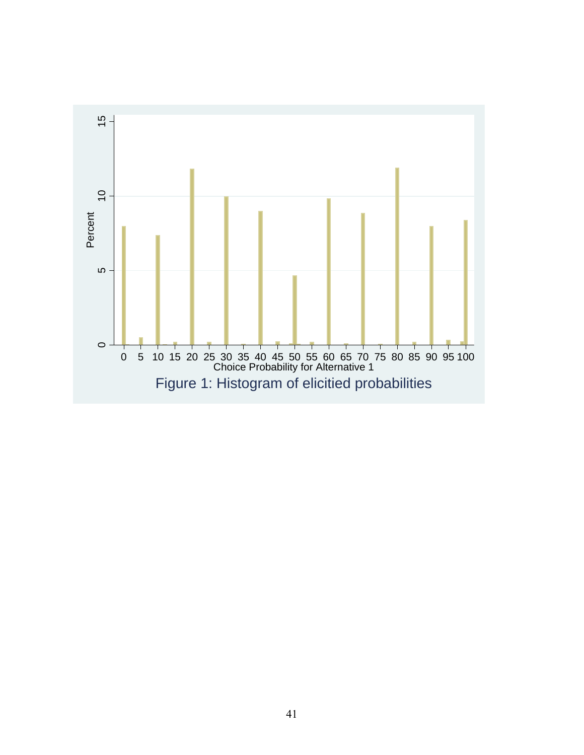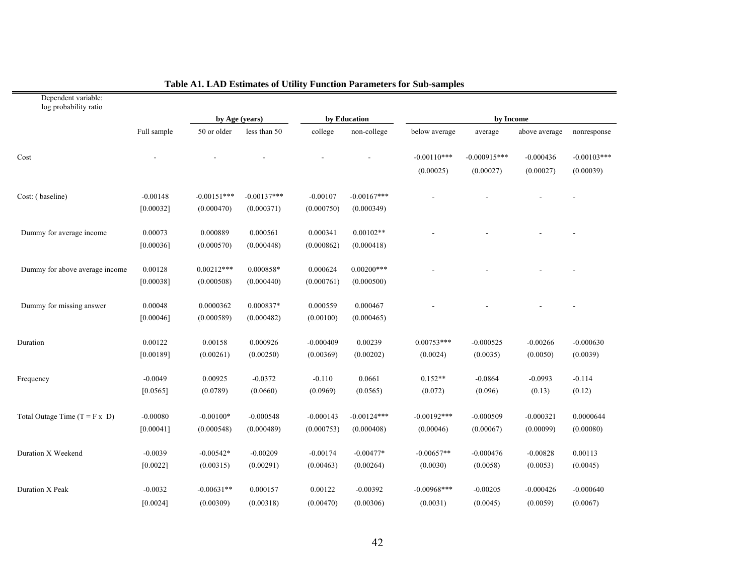| log probability ratio                |             |                |               |             |               |                |                |               |               |
|--------------------------------------|-------------|----------------|---------------|-------------|---------------|----------------|----------------|---------------|---------------|
|                                      |             | by Age (years) |               |             | by Education  |                | by Income      |               |               |
|                                      | Full sample | 50 or older    | less than 50  | college     | non-college   | below average  | average        | above average | nonresponse   |
| Cost                                 |             |                |               |             |               | $-0.00110***$  | $-0.000915***$ | $-0.000436$   | $-0.00103***$ |
|                                      |             |                |               |             |               | (0.00025)      | (0.00027)      | (0.00027)     | (0.00039)     |
| Cost: (baseline)                     | $-0.00148$  | $-0.00151***$  | $-0.00137***$ | $-0.00107$  | $-0.00167***$ |                |                |               |               |
|                                      | [0.00032]   | (0.000470)     | (0.000371)    | (0.000750)  | (0.000349)    |                |                |               |               |
| Dummy for average income             | 0.00073     | 0.000889       | 0.000561      | 0.000341    | $0.00102**$   |                |                |               |               |
|                                      | [0.00036]   | (0.000570)     | (0.000448)    | (0.000862)  | (0.000418)    |                |                |               |               |
| Dummy for above average income       | 0.00128     | $0.00212***$   | 0.000858*     | 0.000624    | $0.00200***$  |                |                |               |               |
|                                      | [0.00038]   | (0.000508)     | (0.000440)    | (0.000761)  | (0.000500)    |                |                |               |               |
| Dummy for missing answer             | 0.00048     | 0.0000362      | 0.000837*     | 0.000559    | 0.000467      |                |                |               |               |
|                                      | [0.00046]   | (0.000589)     | (0.000482)    | (0.00100)   | (0.000465)    |                |                |               |               |
| Duration                             | 0.00122     | 0.00158        | 0.000926      | $-0.000409$ | 0.00239       | $0.00753***$   | $-0.000525$    | $-0.00266$    | $-0.000630$   |
|                                      | [0.00189]   | (0.00261)      | (0.00250)     | (0.00369)   | (0.00202)     | (0.0024)       | (0.0035)       | (0.0050)      | (0.0039)      |
| Frequency                            | $-0.0049$   | 0.00925        | $-0.0372$     | $-0.110$    | 0.0661        | $0.152**$      | $-0.0864$      | $-0.0993$     | $-0.114$      |
|                                      | [0.0565]    | (0.0789)       | (0.0660)      | (0.0969)    | (0.0565)      | (0.072)        | (0.096)        | (0.13)        | (0.12)        |
| Total Outage Time $(T = F \times D)$ | $-0.00080$  | $-0.00100*$    | $-0.000548$   | $-0.000143$ | $-0.00124***$ | $-0.00192***$  | $-0.000509$    | $-0.000321$   | 0.0000644     |
|                                      | [0.00041]   | (0.000548)     | (0.000489)    | (0.000753)  | (0.000408)    | (0.00046)      | (0.00067)      | (0.00099)     | (0.00080)     |
| Duration X Weekend                   | $-0.0039$   | $-0.00542*$    | $-0.00209$    | $-0.00174$  | $-0.00477*$   | $-0.00657**$   | $-0.000476$    | $-0.00828$    | 0.00113       |
|                                      | [0.0022]    | (0.00315)      | (0.00291)     | (0.00463)   | (0.00264)     | (0.0030)       | (0.0058)       | (0.0053)      | (0.0045)      |
| Duration X Peak                      | $-0.0032$   | $-0.00631**$   | 0.000157      | 0.00122     | $-0.00392$    | $-0.00968$ *** | $-0.00205$     | $-0.000426$   | $-0.000640$   |
|                                      | [0.0024]    | (0.00309)      | (0.00318)     | (0.00470)   | (0.00306)     | (0.0031)       | (0.0045)       | (0.0059)      | (0.0067)      |

#### **Table A1. LAD Estimates of Utility Function Parameters for Sub-samples**

Dependent variable: